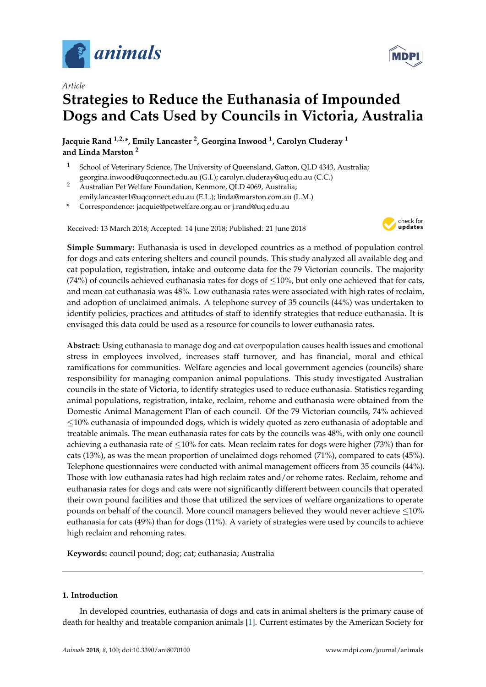

*Article*

# **Strategies to Reduce the Euthanasia of Impounded Dogs and Cats Used by Councils in Victoria, Australia**

**Jacquie Rand 1,2,\*, Emily Lancaster <sup>2</sup> , Georgina Inwood <sup>1</sup> , Carolyn Cluderay <sup>1</sup> and Linda Marston <sup>2</sup>**

- <sup>1</sup> School of Veterinary Science, The University of Queensland, Gatton, QLD 4343, Australia; georgina.inwood@uqconnect.edu.au (G.I.); carolyn.cluderay@uq.edu.au (C.C.)
- <sup>2</sup> Australian Pet Welfare Foundation, Kenmore, QLD 4069, Australia; emily.lancaster1@uqconnect.edu.au (E.L.); linda@marston.com.au (L.M.)
- **\*** Correspondence: jacquie@petwelfare.org.au or j.rand@uq.edu.au

Received: 13 March 2018; Accepted: 14 June 2018; Published: 21 June 2018



**Simple Summary:** Euthanasia is used in developed countries as a method of population control for dogs and cats entering shelters and council pounds. This study analyzed all available dog and cat population, registration, intake and outcome data for the 79 Victorian councils. The majority (74%) of councils achieved euthanasia rates for dogs of  $\leq$ 10%, but only one achieved that for cats, and mean cat euthanasia was 48%. Low euthanasia rates were associated with high rates of reclaim, and adoption of unclaimed animals. A telephone survey of 35 councils (44%) was undertaken to identify policies, practices and attitudes of staff to identify strategies that reduce euthanasia. It is envisaged this data could be used as a resource for councils to lower euthanasia rates.

**Abstract:** Using euthanasia to manage dog and cat overpopulation causes health issues and emotional stress in employees involved, increases staff turnover, and has financial, moral and ethical ramifications for communities. Welfare agencies and local government agencies (councils) share responsibility for managing companion animal populations. This study investigated Australian councils in the state of Victoria, to identify strategies used to reduce euthanasia. Statistics regarding animal populations, registration, intake, reclaim, rehome and euthanasia were obtained from the Domestic Animal Management Plan of each council. Of the 79 Victorian councils, 74% achieved ≤10% euthanasia of impounded dogs, which is widely quoted as zero euthanasia of adoptable and treatable animals. The mean euthanasia rates for cats by the councils was 48%, with only one council achieving a euthanasia rate of ≤10% for cats. Mean reclaim rates for dogs were higher (73%) than for cats (13%), as was the mean proportion of unclaimed dogs rehomed (71%), compared to cats (45%). Telephone questionnaires were conducted with animal management officers from 35 councils (44%). Those with low euthanasia rates had high reclaim rates and/or rehome rates. Reclaim, rehome and euthanasia rates for dogs and cats were not significantly different between councils that operated their own pound facilities and those that utilized the services of welfare organizations to operate pounds on behalf of the council. More council managers believed they would never achieve  $\leq 10\%$ euthanasia for cats (49%) than for dogs (11%). A variety of strategies were used by councils to achieve high reclaim and rehoming rates.

**Keywords:** council pound; dog; cat; euthanasia; Australia

## **1. Introduction**

In developed countries, euthanasia of dogs and cats in animal shelters is the primary cause of death for healthy and treatable companion animals [\[1\]](#page-30-0). Current estimates by the American Society for

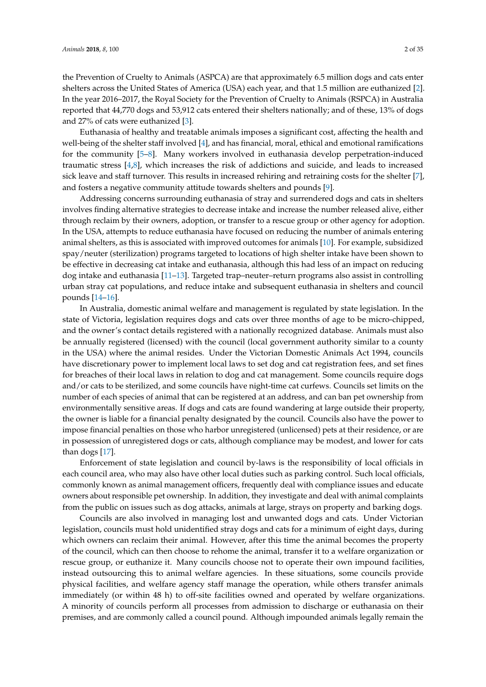the Prevention of Cruelty to Animals (ASPCA) are that approximately 6.5 million dogs and cats enter shelters across the United States of America (USA) each year, and that 1.5 million are euthanized [\[2\]](#page-30-1). In the year 2016–2017, the Royal Society for the Prevention of Cruelty to Animals (RSPCA) in Australia reported that 44,770 dogs and 53,912 cats entered their shelters nationally; and of these, 13% of dogs and 27% of cats were euthanized [\[3\]](#page-30-2).

Euthanasia of healthy and treatable animals imposes a significant cost, affecting the health and well-being of the shelter staff involved [\[4\]](#page-30-3), and has financial, moral, ethical and emotional ramifications for the community [\[5–](#page-30-4)[8\]](#page-30-5). Many workers involved in euthanasia develop perpetration-induced traumatic stress [\[4,](#page-30-3)[8\]](#page-30-5), which increases the risk of addictions and suicide, and leads to increased sick leave and staff turnover. This results in increased rehiring and retraining costs for the shelter [\[7\]](#page-30-6), and fosters a negative community attitude towards shelters and pounds [\[9\]](#page-30-7).

Addressing concerns surrounding euthanasia of stray and surrendered dogs and cats in shelters involves finding alternative strategies to decrease intake and increase the number released alive, either through reclaim by their owners, adoption, or transfer to a rescue group or other agency for adoption. In the USA, attempts to reduce euthanasia have focused on reducing the number of animals entering animal shelters, as this is associated with improved outcomes for animals [\[10\]](#page-30-8). For example, subsidized spay/neuter (sterilization) programs targeted to locations of high shelter intake have been shown to be effective in decreasing cat intake and euthanasia, although this had less of an impact on reducing dog intake and euthanasia [\[11](#page-30-9)[–13\]](#page-30-10). Targeted trap–neuter–return programs also assist in controlling urban stray cat populations, and reduce intake and subsequent euthanasia in shelters and council pounds [\[14–](#page-30-11)[16\]](#page-30-12).

In Australia, domestic animal welfare and management is regulated by state legislation. In the state of Victoria, legislation requires dogs and cats over three months of age to be micro-chipped, and the owner's contact details registered with a nationally recognized database. Animals must also be annually registered (licensed) with the council (local government authority similar to a county in the USA) where the animal resides. Under the Victorian Domestic Animals Act 1994, councils have discretionary power to implement local laws to set dog and cat registration fees, and set fines for breaches of their local laws in relation to dog and cat management. Some councils require dogs and/or cats to be sterilized, and some councils have night-time cat curfews. Councils set limits on the number of each species of animal that can be registered at an address, and can ban pet ownership from environmentally sensitive areas. If dogs and cats are found wandering at large outside their property, the owner is liable for a financial penalty designated by the council. Councils also have the power to impose financial penalties on those who harbor unregistered (unlicensed) pets at their residence, or are in possession of unregistered dogs or cats, although compliance may be modest, and lower for cats than dogs [\[17\]](#page-30-13).

Enforcement of state legislation and council by-laws is the responsibility of local officials in each council area, who may also have other local duties such as parking control. Such local officials, commonly known as animal management officers, frequently deal with compliance issues and educate owners about responsible pet ownership. In addition, they investigate and deal with animal complaints from the public on issues such as dog attacks, animals at large, strays on property and barking dogs.

Councils are also involved in managing lost and unwanted dogs and cats. Under Victorian legislation, councils must hold unidentified stray dogs and cats for a minimum of eight days, during which owners can reclaim their animal. However, after this time the animal becomes the property of the council, which can then choose to rehome the animal, transfer it to a welfare organization or rescue group, or euthanize it. Many councils choose not to operate their own impound facilities, instead outsourcing this to animal welfare agencies. In these situations, some councils provide physical facilities, and welfare agency staff manage the operation, while others transfer animals immediately (or within 48 h) to off-site facilities owned and operated by welfare organizations. A minority of councils perform all processes from admission to discharge or euthanasia on their premises, and are commonly called a council pound. Although impounded animals legally remain the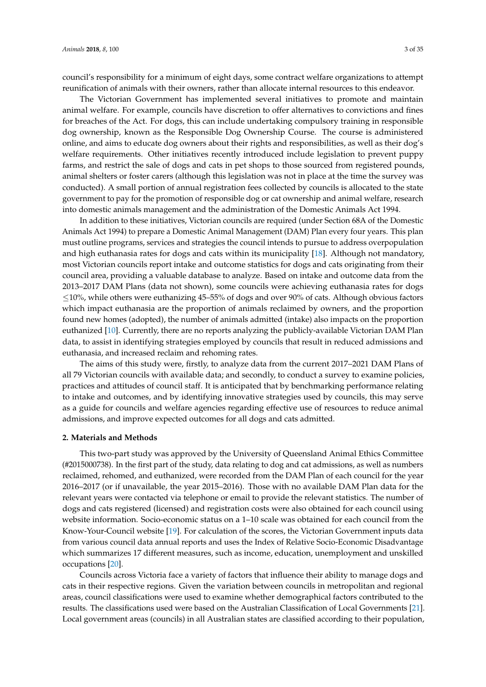council's responsibility for a minimum of eight days, some contract welfare organizations to attempt reunification of animals with their owners, rather than allocate internal resources to this endeavor.

The Victorian Government has implemented several initiatives to promote and maintain animal welfare. For example, councils have discretion to offer alternatives to convictions and fines for breaches of the Act. For dogs, this can include undertaking compulsory training in responsible dog ownership, known as the Responsible Dog Ownership Course. The course is administered online, and aims to educate dog owners about their rights and responsibilities, as well as their dog's welfare requirements. Other initiatives recently introduced include legislation to prevent puppy farms, and restrict the sale of dogs and cats in pet shops to those sourced from registered pounds, animal shelters or foster carers (although this legislation was not in place at the time the survey was conducted). A small portion of annual registration fees collected by councils is allocated to the state government to pay for the promotion of responsible dog or cat ownership and animal welfare, research into domestic animals management and the administration of the Domestic Animals Act 1994.

In addition to these initiatives, Victorian councils are required (under Section 68A of the Domestic Animals Act 1994) to prepare a Domestic Animal Management (DAM) Plan every four years. This plan must outline programs, services and strategies the council intends to pursue to address overpopulation and high euthanasia rates for dogs and cats within its municipality [\[18\]](#page-30-14). Although not mandatory, most Victorian councils report intake and outcome statistics for dogs and cats originating from their council area, providing a valuable database to analyze. Based on intake and outcome data from the 2013–2017 DAM Plans (data not shown), some councils were achieving euthanasia rates for dogs ≤10%, while others were euthanizing 45–55% of dogs and over 90% of cats. Although obvious factors which impact euthanasia are the proportion of animals reclaimed by owners, and the proportion found new homes (adopted), the number of animals admitted (intake) also impacts on the proportion euthanized [\[10\]](#page-30-8). Currently, there are no reports analyzing the publicly-available Victorian DAM Plan data, to assist in identifying strategies employed by councils that result in reduced admissions and euthanasia, and increased reclaim and rehoming rates.

The aims of this study were, firstly, to analyze data from the current 2017–2021 DAM Plans of all 79 Victorian councils with available data; and secondly, to conduct a survey to examine policies, practices and attitudes of council staff. It is anticipated that by benchmarking performance relating to intake and outcomes, and by identifying innovative strategies used by councils, this may serve as a guide for councils and welfare agencies regarding effective use of resources to reduce animal admissions, and improve expected outcomes for all dogs and cats admitted.

#### **2. Materials and Methods**

This two-part study was approved by the University of Queensland Animal Ethics Committee (#2015000738). In the first part of the study, data relating to dog and cat admissions, as well as numbers reclaimed, rehomed, and euthanized, were recorded from the DAM Plan of each council for the year 2016–2017 (or if unavailable, the year 2015–2016). Those with no available DAM Plan data for the relevant years were contacted via telephone or email to provide the relevant statistics. The number of dogs and cats registered (licensed) and registration costs were also obtained for each council using website information. Socio-economic status on a 1–10 scale was obtained for each council from the Know-Your-Council website [\[19\]](#page-30-15). For calculation of the scores, the Victorian Government inputs data from various council data annual reports and uses the Index of Relative Socio-Economic Disadvantage which summarizes 17 different measures, such as income, education, unemployment and unskilled occupations [\[20\]](#page-30-16).

Councils across Victoria face a variety of factors that influence their ability to manage dogs and cats in their respective regions. Given the variation between councils in metropolitan and regional areas, council classifications were used to examine whether demographical factors contributed to the results. The classifications used were based on the Australian Classification of Local Governments [\[21\]](#page-30-17). Local government areas (councils) in all Australian states are classified according to their population,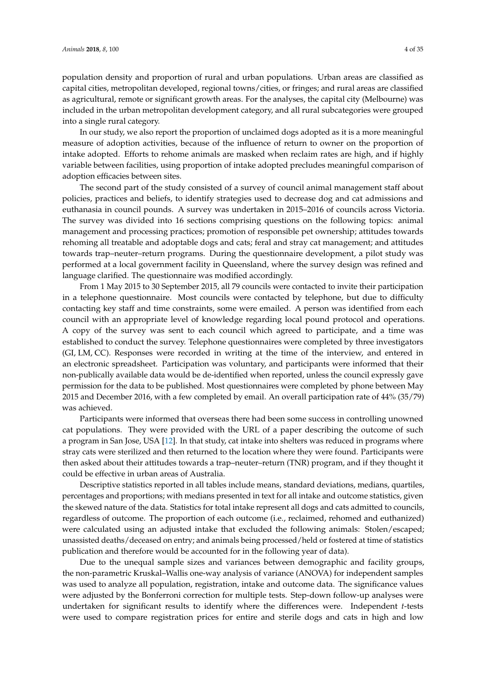population density and proportion of rural and urban populations. Urban areas are classified as capital cities, metropolitan developed, regional towns/cities, or fringes; and rural areas are classified as agricultural, remote or significant growth areas. For the analyses, the capital city (Melbourne) was included in the urban metropolitan development category, and all rural subcategories were grouped into a single rural category.

In our study, we also report the proportion of unclaimed dogs adopted as it is a more meaningful measure of adoption activities, because of the influence of return to owner on the proportion of intake adopted. Efforts to rehome animals are masked when reclaim rates are high, and if highly variable between facilities, using proportion of intake adopted precludes meaningful comparison of adoption efficacies between sites.

The second part of the study consisted of a survey of council animal management staff about policies, practices and beliefs, to identify strategies used to decrease dog and cat admissions and euthanasia in council pounds. A survey was undertaken in 2015–2016 of councils across Victoria. The survey was divided into 16 sections comprising questions on the following topics: animal management and processing practices; promotion of responsible pet ownership; attitudes towards rehoming all treatable and adoptable dogs and cats; feral and stray cat management; and attitudes towards trap–neuter–return programs. During the questionnaire development, a pilot study was performed at a local government facility in Queensland, where the survey design was refined and language clarified. The questionnaire was modified accordingly.

From 1 May 2015 to 30 September 2015, all 79 councils were contacted to invite their participation in a telephone questionnaire. Most councils were contacted by telephone, but due to difficulty contacting key staff and time constraints, some were emailed. A person was identified from each council with an appropriate level of knowledge regarding local pound protocol and operations. A copy of the survey was sent to each council which agreed to participate, and a time was established to conduct the survey. Telephone questionnaires were completed by three investigators (GI, LM, CC). Responses were recorded in writing at the time of the interview, and entered in an electronic spreadsheet. Participation was voluntary, and participants were informed that their non-publically available data would be de-identified when reported, unless the council expressly gave permission for the data to be published. Most questionnaires were completed by phone between May 2015 and December 2016, with a few completed by email. An overall participation rate of 44% (35/79) was achieved.

Participants were informed that overseas there had been some success in controlling unowned cat populations. They were provided with the URL of a paper describing the outcome of such a program in San Jose, USA [\[12\]](#page-30-18). In that study, cat intake into shelters was reduced in programs where stray cats were sterilized and then returned to the location where they were found. Participants were then asked about their attitudes towards a trap–neuter–return (TNR) program, and if they thought it could be effective in urban areas of Australia.

Descriptive statistics reported in all tables include means, standard deviations, medians, quartiles, percentages and proportions; with medians presented in text for all intake and outcome statistics, given the skewed nature of the data. Statistics for total intake represent all dogs and cats admitted to councils, regardless of outcome. The proportion of each outcome (i.e., reclaimed, rehomed and euthanized) were calculated using an adjusted intake that excluded the following animals: Stolen/escaped; unassisted deaths/deceased on entry; and animals being processed/held or fostered at time of statistics publication and therefore would be accounted for in the following year of data).

Due to the unequal sample sizes and variances between demographic and facility groups, the non-parametric Kruskal–Wallis one-way analysis of variance (ANOVA) for independent samples was used to analyze all population, registration, intake and outcome data. The significance values were adjusted by the Bonferroni correction for multiple tests. Step-down follow-up analyses were undertaken for significant results to identify where the differences were. Independent *t*-tests were used to compare registration prices for entire and sterile dogs and cats in high and low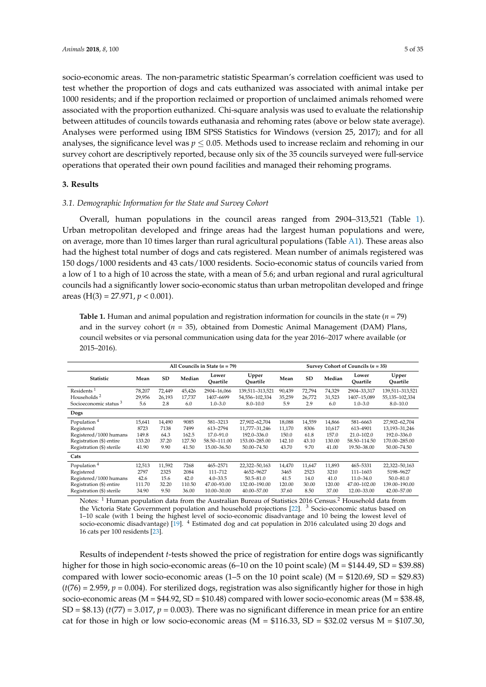socio-economic areas. The non-parametric statistic Spearman's correlation coefficient was used to test whether the proportion of dogs and cats euthanized was associated with animal intake per 1000 residents; and if the proportion reclaimed or proportion of unclaimed animals rehomed were associated with the proportion euthanized. Chi-square analysis was used to evaluate the relationship between attitudes of councils towards euthanasia and rehoming rates (above or below state average). Analyses were performed using IBM SPSS Statistics for Windows (version 25, 2017); and for all analyses, the significance level was  $p \leq 0.05$ . Methods used to increase reclaim and rehoming in our survey cohort are descriptively reported, because only six of the 35 councils surveyed were full-service operations that operated their own pound facilities and managed their rehoming programs.

## **3. Results**

## *3.1. Demographic Information for the State and Survey Cohort*

Overall, human populations in the council areas ranged from 2904–313,521 (Table [1\)](#page-4-0). Urban metropolitan developed and fringe areas had the largest human populations and were, on average, more than 10 times larger than rural agricultural populations (Table [A1\)](#page-28-0). These areas also had the highest total number of dogs and cats registered. Mean number of animals registered was 150 dogs/1000 residents and 43 cats/1000 residents. Socio-economic status of councils varied from a low of 1 to a high of 10 across the state, with a mean of 5.6; and urban regional and rural agricultural councils had a significantly lower socio-economic status than urban metropolitan developed and fringe areas (H(3) = 27.971, *p* < 0.001).

<span id="page-4-0"></span>**Table 1.** Human and animal population and registration information for councils in the state  $(n = 79)$ and in the survey cohort  $(n = 35)$ , obtained from Domestic Animal Management (DAM) Plans, council websites or via personal communication using data for the year 2016–2017 where available (or 2015–2016).

|                                   |        | All Councils in State $(n = 79)$ | Survey Cohort of Councils ( $n = 35$ ) |                   |                   |        |           |        |                   |                   |  |
|-----------------------------------|--------|----------------------------------|----------------------------------------|-------------------|-------------------|--------|-----------|--------|-------------------|-------------------|--|
| <b>Statistic</b>                  | Mean   | SD                               | Median                                 | Lower<br>Ouartile | Upper<br>Ouartile | Mean   | <b>SD</b> | Median | Lower<br>Ouartile | Upper<br>Ouartile |  |
| Residents <sup>1</sup>            | 78.207 | 72,449                           | 45.426                                 | 2904-16.066       | 139,511-313,521   | 90.439 | 72.794    | 74.329 | 2904-33.317       | 139,511-313,521   |  |
| Households <sup>2</sup>           | 29,956 | 26,193                           | 17.737                                 | 1407-6699         | 54,556-102,334    | 35,259 | 26,772    | 31,523 | 1407-15.089       | 55,135-102,334    |  |
| Socioeconomic status <sup>3</sup> | 5.6    | 2.8                              | 6.0                                    | $1.0 - 3.0$       | $8.0 - 10.0$      | 5.9    | 2.9       | 6.0    | $1.0 - 3.0$       | $8.0 - 10.0$      |  |
| Dogs                              |        |                                  |                                        |                   |                   |        |           |        |                   |                   |  |
| Population <sup>4</sup>           | 15,641 | 14,490                           | 9085                                   | 581-3213          | 27,902-62,704     | 18,088 | 14,559    | 14,866 | 581-6663          | 27,902-62,704     |  |
| Registered                        | 8723   | 7138                             | 7499                                   | 613-2794          | 11,777-31,246     | 11,170 | 8306      | 10,617 | 613-4901          | 13,193-31,246     |  |
| Registered/1000 humans            | 149.8  | 64.3                             | 162.5                                  | $17.0 - 91.0$     | 192.0-336.0       | 150.0  | 61.8      | 157.0  | $21.0 - 102.0$    | 192.0-336.0       |  |
| Registration (\$) entire          | 133.20 | 37.20                            | 127.50                                 | 58.50-111.00      | 153.00-285.00     | 142.10 | 43.10     | 130.00 | 58.50-114.50      | 170.00-285.00     |  |
| Registration (\$) sterile         | 41.90  | 9.90                             | 41.50                                  | 15.00-36.50       | 50.00-74.50       | 43.70  | 9.70      | 41.00  | 19.50-38.00       | 50.00-74.50       |  |
| Cats                              |        |                                  |                                        |                   |                   |        |           |        |                   |                   |  |
| Population <sup>4</sup>           | 12,513 | 11,592                           | 7268                                   | 465-2571          | 22,322-50,163     | 14,470 | 11.647    | 11.893 | 465-5331          | 22,322-50,163     |  |
| Registered                        | 2797   | 2325                             | 2084                                   | $111 - 712$       | 4652-9627         | 3465   | 2523      | 3210   | 111-1603          | 5198-9627         |  |
| Registered/1000 humans            | 42.6   | 15.6                             | 42.0                                   | $4.0 - 33.5$      | $50.5 - 81.0$     | 41.5   | 14.0      | 41.0   | $11.0 - 34.0$     | $50.0 - 81.0$     |  |
| Registration (\$) entire          | 111.70 | 32.20                            | 110.50                                 | 47.00-93.00       | 132.00-190.00     | 120.00 | 30.00     | 120.00 | 47.00-102.00      | 139.00-190.00     |  |
| Registration (\$) sterile         | 34.90  | 9.50                             | 36.00                                  | 10.00-30.00       | 40.00-57.00       | 37.60  | 8.50      | 37.00  | 12.00-33.00       | 42.00-57.00       |  |

Notes: <sup>1</sup> Human population data from the Australian Bureau of Statistics 2016 Census.<sup>2</sup> Household data from the Victoria State Government population and household projections [\[22\]](#page-30-19). <sup>3</sup> Socio-economic status based on 1–10 scale (with 1 being the highest level of socio-economic disadvantage and 10 being the lowest level of socio-economic disadvantage) [\[19\]](#page-30-15). <sup>4</sup> Estimated dog and cat population in 2016 calculated using 20 dogs and 16 cats per 100 residents [\[23\]](#page-31-0).

Results of independent *t*-tests showed the price of registration for entire dogs was significantly higher for those in high socio-economic areas (6–10 on the 10 point scale) (M = \$144.49, SD = \$39.88) compared with lower socio-economic areas (1–5 on the 10 point scale) ( $M = $120.69$ ,  $SD = $29.83$ )  $(t/76) = 2.959$ ,  $p = 0.004$ ). For sterilized dogs, registration was also significantly higher for those in high socio-economic areas ( $M = $44.92$ ,  $SD = $10.48$ ) compared with lower socio-economic areas ( $M = $38.48$ , SD =  $$8.13$ ) ( $t(77)$  = 3.017,  $p = 0.003$ ). There was no significant difference in mean price for an entire cat for those in high or low socio-economic areas ( $M = $116.33$ ,  $SD = $32.02$  versus  $M = $107.30$ ,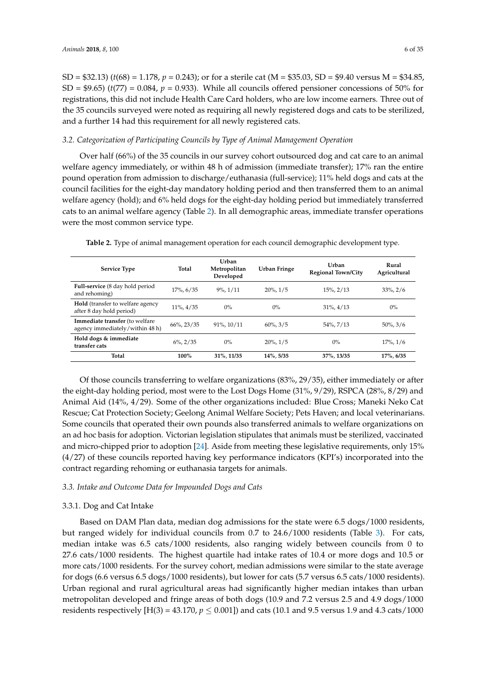SD = \$32.13) (*t*(68) = 1.178, *p* = 0.243); or for a sterile cat (M = \$35.03, SD = \$9.40 versus M = \$34.85,  $SD = $9.65$ ) ( $t(77) = 0.084$ ,  $p = 0.933$ ). While all councils offered pensioner concessions of 50% for registrations, this did not include Health Care Card holders, who are low income earners. Three out of the 35 councils surveyed were noted as requiring all newly registered dogs and cats to be sterilized, and a further 14 had this requirement for all newly registered cats.

## *3.2. Categorization of Participating Councils by Type of Animal Management Operation*

Over half (66%) of the 35 councils in our survey cohort outsourced dog and cat care to an animal welfare agency immediately, or within 48 h of admission (immediate transfer); 17% ran the entire pound operation from admission to discharge/euthanasia (full-service); 11% held dogs and cats at the council facilities for the eight-day mandatory holding period and then transferred them to an animal welfare agency (hold); and 6% held dogs for the eight-day holding period but immediately transferred cats to an animal welfare agency (Table [2\)](#page-5-0). In all demographic areas, immediate transfer operations were the most common service type.

<span id="page-5-0"></span>

| <b>Service Type</b>                                                 | Total           | Urban<br>Metropolitan<br>Developed | Urban Fringe   | Urban<br><b>Regional Town/City</b> | Rural<br>Agricultural |
|---------------------------------------------------------------------|-----------------|------------------------------------|----------------|------------------------------------|-----------------------|
| Full-service (8 day hold period<br>and rehoming)                    | $17\%$ , 6/35   | $9\%$ , $1/11$                     | $20\%$ , $1/5$ | $15\%$ , $2/13$                    | $33\%, 2/6$           |
| <b>Hold</b> (transfer to welfare agency<br>after 8 day hold period) | $11\%$ , $4/35$ | $0\%$                              | $0\%$          | $31\%, 4/13$                       | $0\%$                 |
| Immediate transfer (to welfare<br>agency immediately/within 48 h)   | $66\%$ , 23/35  | $91\%$ , $10/11$                   | $60\%, 3/5$    | 54%, 7/13                          | $50\%$ , $3/6$        |
| Hold dogs & immediate<br>transfer cats                              | $6\%, 2/35$     | $0\%$                              | $20\%, 1/5$    | $0\%$                              | $17\%, 1/6$           |
| Total                                                               | 100%            | 31%, 11/35                         | 14%, 5/35      | 37%, 13/35                         | 17%, 6/35             |

**Table 2.** Type of animal management operation for each council demographic development type.

Of those councils transferring to welfare organizations (83%, 29/35), either immediately or after the eight-day holding period, most were to the Lost Dogs Home (31%, 9/29), RSPCA (28%, 8/29) and Animal Aid (14%, 4/29). Some of the other organizations included: Blue Cross; Maneki Neko Cat Rescue; Cat Protection Society; Geelong Animal Welfare Society; Pets Haven; and local veterinarians. Some councils that operated their own pounds also transferred animals to welfare organizations on an ad hoc basis for adoption. Victorian legislation stipulates that animals must be sterilized, vaccinated and micro-chipped prior to adoption [\[24\]](#page-31-1). Aside from meeting these legislative requirements, only 15% (4/27) of these councils reported having key performance indicators (KPI's) incorporated into the contract regarding rehoming or euthanasia targets for animals.

## *3.3. Intake and Outcome Data for Impounded Dogs and Cats*

## 3.3.1. Dog and Cat Intake

Based on DAM Plan data, median dog admissions for the state were 6.5 dogs/1000 residents, but ranged widely for individual councils from 0.7 to 24.6/1000 residents (Table [3\)](#page-6-0). For cats, median intake was 6.5 cats/1000 residents, also ranging widely between councils from 0 to 27.6 cats/1000 residents. The highest quartile had intake rates of 10.4 or more dogs and 10.5 or more cats/1000 residents. For the survey cohort, median admissions were similar to the state average for dogs (6.6 versus 6.5 dogs/1000 residents), but lower for cats (5.7 versus 6.5 cats/1000 residents). Urban regional and rural agricultural areas had significantly higher median intakes than urban metropolitan developed and fringe areas of both dogs (10.9 and 7.2 versus 2.5 and 4.9 dogs/1000 residents respectively  $[H(3) = 43.170, p \le 0.001]$  and cats (10.1 and 9.5 versus 1.9 and 4.3 cats/1000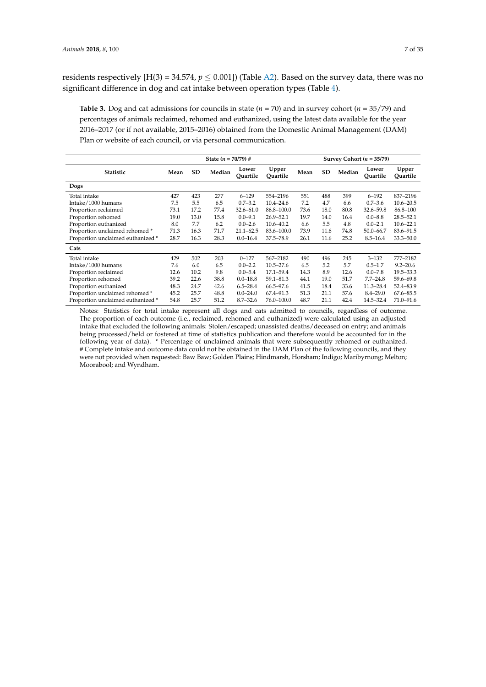residents respectively  $[H(3) = 34.574, p \le 0.001]$ ) (Table [A2\)](#page-29-0). Based on the survey data, there was no significant difference in dog and cat intake between operation types (Table [4\)](#page-7-0).

<span id="page-6-0"></span>**Table 3.** Dog and cat admissions for councils in state (*n* = 70) and in survey cohort (*n* = 35/79) and percentages of animals reclaimed, rehomed and euthanized, using the latest data available for the year 2016–2017 (or if not available, 2015–2016) obtained from the Domestic Animal Management (DAM) Plan or website of each council, or via personal communication.

|                                   |      |           | State $(n = 70/79)$ # |                   |                   |      | Survey Cohort ( $n = 35/79$ ) |        |                   |                   |  |  |  |
|-----------------------------------|------|-----------|-----------------------|-------------------|-------------------|------|-------------------------------|--------|-------------------|-------------------|--|--|--|
| <b>Statistic</b>                  | Mean | <b>SD</b> | Median                | Lower<br>Quartile | Upper<br>Ouartile | Mean | <b>SD</b>                     | Median | Lower<br>Quartile | Upper<br>Ouartile |  |  |  |
| Dogs                              |      |           |                       |                   |                   |      |                               |        |                   |                   |  |  |  |
| Total intake                      | 427  | 423       | 277                   | $6 - 129$         | 554-2196          | 551  | 488                           | 399    | $6 - 192$         | 837-2196          |  |  |  |
| Intake/1000 humans                | 7.5  | 5.5       | 6.5                   | $0.7 - 3.2$       | $10.4 - 24.6$     | 7.2  | 4.7                           | 6.6    | $0.7 - 3.6$       | $10.6 - 20.5$     |  |  |  |
| Proportion reclaimed              | 73.1 | 17.2      | 77.4                  | $32.6 - 61.0$     | 86.8-100.0        | 73.6 | 18.0                          | 80.8   | 32.6-59.8         | 86.8-100          |  |  |  |
| Proportion rehomed                | 19.0 | 13.0      | 15.8                  | $0.0 - 9.1$       | $26.9 - 52.1$     | 19.7 | 14.0                          | 16.4   | $0.0 - 8.8$       | $28.5 - 52.1$     |  |  |  |
| Proportion euthanized             | 8.0  | 7.7       | 6.2                   | $0.0 - 2.6$       | $10.6 - 40.2$     | 6.6  | 5.5                           | 4.8    | $0.0 - 2.1$       | $10.6 - 22.1$     |  |  |  |
| Proportion unclaimed rehomed *    | 71.3 | 16.3      | 71.7                  | $21.1 - 62.5$     | 83.6-100.0        | 73.9 | 11.6                          | 74.8   | $50.0 - 66.7$     | 83.6-91.5         |  |  |  |
| Proportion unclaimed euthanized * | 28.7 | 16.3      | 28.3                  | $0.0 - 16.4$      | 37.5-78.9         | 26.1 | 11.6                          | 25.2   | $8.5 - 16.4$      | $33.3 - 50.0$     |  |  |  |
| Cats                              |      |           |                       |                   |                   |      |                               |        |                   |                   |  |  |  |
| Total intake                      | 429  | 502       | 203                   | $0 - 127$         | 567-2182          | 490  | 496                           | 245    | $3 - 132$         | 777-2182          |  |  |  |
| Intake/1000 humans                | 7.6  | 6.0       | 6.5                   | $0.0 - 2.2$       | $10.5 - 27.6$     | 6.5  | 5.2                           | 5.7    | $0.5 - 1.7$       | $9.2 - 20.6$      |  |  |  |
| Proportion reclaimed              | 12.6 | 10.2      | 9.8                   | $0.0 - 5.4$       | 17.1-59.4         | 14.3 | 8.9                           | 12.6   | $0.0 - 7.8$       | $19.5 - 33.3$     |  |  |  |
| Proportion rehomed                | 39.2 | 22.6      | 38.8                  | $0.0 - 18.8$      | $59.1 - 81.3$     | 44.1 | 19.0                          | 51.7   | $7.7 - 24.8$      | 59.6-69.8         |  |  |  |
| Proportion euthanized             | 48.3 | 24.7      | 42.6                  | $6.5 - 28.4$      | 66.5-97.6         | 41.5 | 18.4                          | 33.6   | $11.3 - 28.4$     | 52.4-83.9         |  |  |  |
| Proportion unclaimed rehomed *    | 45.2 | 25.7      | 48.8                  | $0.0 - 24.0$      | 67.4-91.3         | 51.3 | 21.1                          | 57.6   | $8.4 - 29.0$      | $67.6 - 85.5$     |  |  |  |
| Proportion unclaimed euthanized * | 54.8 | 25.7      | 51.2                  | $8.7 - 32.6$      | 76.0-100.0        | 48.7 | 21.1                          | 42.4   | 14.5-32.4         | $71.0 - 91.6$     |  |  |  |

Notes: Statistics for total intake represent all dogs and cats admitted to councils, regardless of outcome. The proportion of each outcome (i.e., reclaimed, rehomed and euthanized) were calculated using an adjusted intake that excluded the following animals: Stolen/escaped; unassisted deaths/deceased on entry; and animals being processed/held or fostered at time of statistics publication and therefore would be accounted for in the following year of data). \* Percentage of unclaimed animals that were subsequently rehomed or euthanized. # Complete intake and outcome data could not be obtained in the DAM Plan of the following councils, and they were not provided when requested: Baw Baw; Golden Plains; Hindmarsh, Horsham; Indigo; Maribyrnong; Melton; Moorabool; and Wyndham.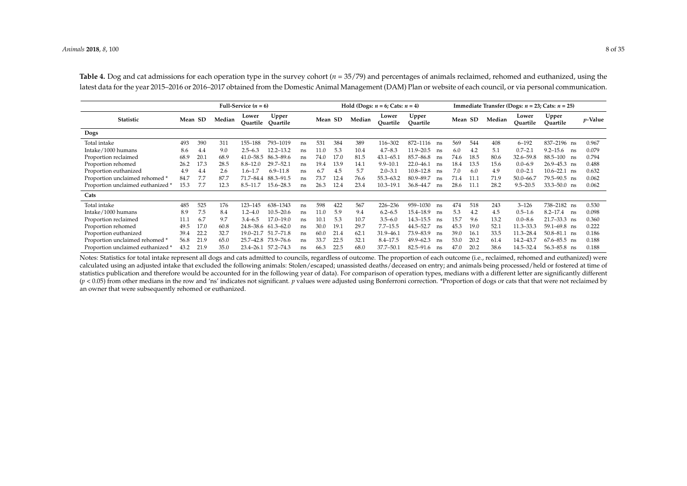Table 4. Dog and cat admissions for each operation type in the survey cohort ( $n = 35/79$ ) and percentages of animals reclaimed, rehomed and euthanized, using the latest data for the year 2015–2016 or 2016–2017 obtained from the Domestic Animal Management (DAM) Plan or website of each council, or via personal communication.

|                                   |      |         |        | Full-Service $(n = 6)$ |                     |    |      |         |        | Hold (Dogs: $n = 6$ ; Cats: $n = 4$ ) |                   |    | Immediate Transfer (Dogs: $n = 23$ ; Cats: $n = 25$ ) |         |        |                   |                    |                 |  |  |
|-----------------------------------|------|---------|--------|------------------------|---------------------|----|------|---------|--------|---------------------------------------|-------------------|----|-------------------------------------------------------|---------|--------|-------------------|--------------------|-----------------|--|--|
| Statistic                         |      | Mean SD | Median | Lower<br>Ouartile      | Upper<br>Ouartile   |    |      | Mean SD | Median | Lower<br>Quartile                     | Upper<br>Ouartile |    |                                                       | Mean SD | Median | Lower<br>Quartile | Upper<br>Quartile  | <i>v</i> -Value |  |  |
| Dogs                              |      |         |        |                        |                     |    |      |         |        |                                       |                   |    |                                                       |         |        |                   |                    |                 |  |  |
| Total intake                      | 493  | 390     | 311    | 155-188                | 793-1019            | ns | 531  | 384     | 389    | 116–302                               | 872-1116          | ns | 569                                                   | 544     | 408    | $6 - 192$         | 837-2196 ns        | 0.967           |  |  |
| Intake/1000 humans                | 8.6  | 4.4     | 9.0    | $2.5 - 6.3$            | 12.2-13.2           | ns | 11.0 | 5.3     | 10.4   | $4.7 - 8.3$                           | $11.9 - 20.5$     | ns | 6.0                                                   | 4.2     | 5.1    | $0.7 - 2.1$       | $9.2 - 15.6$<br>ns | 0.079           |  |  |
| Proportion reclaimed              | 68.9 | 20.1    | 68.9   | $41.0 - 58.5$          | 86.3-89.6           | ns | 74.0 | 17.0    | 81.5   | $43.1 - 65.1$                         | 85.7-86.8         | ns | 74.6                                                  | 18.5    | 80.6   | $32.6 - 59.8$     | 88.5–100<br>ns     | 0.794           |  |  |
| Proportion rehomed                | 26.2 | 17.3    | 28.5   | $8.8 - 12.0$           | 29.7-52.1           | ns | 19.4 | 13.9    | 14.1   | $9.9 - 10.1$                          | $22.0 - 46.1$     | ns | 18.4                                                  | 13.5    | 15.6   | $0.0 - 6.9$       | $26.9 - 45.3$ ns   | 0.488           |  |  |
| Proportion euthanized             | 4.9  | 4.4     | 2.6    | $1.6 - 1.7$            | $6.9 - 11.8$        | ns | 6.7  | 4.5     | 5.7    | $2.0 - 3.1$                           | $10.8 - 12.8$     | ns | 7.0                                                   | 6.0     | 4.9    | $0.0 - 2.1$       | $10.6 - 22.1$ ns   | 0.632           |  |  |
| Proportion unclaimed rehomed *    | 84.7 | 7.7     | 87.7   | 71.7-84.4              | 88.3-91.5           | ns | 73.7 | 12.4    | 76.6   | 55.3-63.2                             | 80.9-89.7         |    | 71.4                                                  | 11.1    | 71.9   | $50.0 - 66.7$     | $79.5 - 90.5$ ns   | 0.062           |  |  |
| Proportion unclaimed euthanized * | 15.3 | 7.7     | 12.3   | $8.5 - 11.7$           | 15.6-28.3           | ns | 26.3 | 12.4    | 23.4   | $10.3 - 19.1$                         | 36.8-44.7         | ns | 28.6                                                  | 11.1    | 28.2   | $9.5 - 20.5$      | $33.3 - 50.0$ ns   | 0.062           |  |  |
| Cats                              |      |         |        |                        |                     |    |      |         |        |                                       |                   |    |                                                       |         |        |                   |                    |                 |  |  |
| Total intake                      | 485  | 525     | 176    | $123 - 145$            | 638-1343            | ns | 598  | 422     | 567    | 226-236                               | 959-1030          | ns | 474                                                   | 518     | 243    | $3 - 126$         | 738-2182 ns        | 0.530           |  |  |
| Intake/1000 humans                | 8.9  | 7.5     | 8.4    | $1.2 - 4.0$            | $10.5 - 20.6$       | ns | 11.0 | 5.9     | 9.4    | $6.2 - 6.5$                           | 15.4–18.9         | ns | 5.3                                                   | 4.2     | 4.5    | $0.5 - 1.6$       | $8.2 - 17.4$<br>ns | 0.098           |  |  |
| Proportion reclaimed              | 11.1 | 6.7     | 9.7    | $3.4 - 6.5$            | $17.0 - 19.0$       | ns | 10.1 | 5.3     | 10.7   | $3.5 - 6.0$                           | $14.3 - 15.5$     | ns | 15.7                                                  | 9.6     | 13.2   | $0.0 - 8.6$       | $21.7 - 33.3$ ns   | 0.360           |  |  |
| Proportion rehomed                | 49.5 | 17.0    | 60.8   |                        | 24.8-38.6 61.3-62.0 | ns | 30.0 | 19.7    | 29.7   | $7.7 - 15.5$                          | 44.5-52.7         | ns | 45.3                                                  | 19.0    | 52.1   | 11.3–33.3         | $59.1 - 69.8$ ns   | 0.222           |  |  |
| Proportion euthanized             | 39.4 | 22.2    | 32.7   | 19.0–21.7              | 51.7-71.8           | ns | 60.0 | 21.4    | 62.1   | $31.9 - 46.1$                         | 73.9-83.9         | ns | 39.0                                                  | 16.1    | 33.5   | 11.3–28.4         | $50.8 - 81.1$ ns   | 0.186           |  |  |
| Proportion unclaimed rehomed *    | 56.8 | 21.9    | 65.0   |                        | 25.7-42.8 73.9-76.6 | ns | 33.7 | 22.5    | 32.1   | $8.4 - 17.5$                          | $49.9 - 62.3$     | ns | 53.0                                                  | 20.2    | 61.4   | 14.2-43.7         | $67.6 - 85.5$ ns   | 0.188           |  |  |
| Proportion unclaimed euthanized * | 43.2 | 21.9    | 35.0   | $23.4 - 26.1$          | 57.2-74.3           | ns | 66.3 | 22.5    | 68.0   | 37.7-50.1                             | 82.5-91.6         | ns | 47.0                                                  | 20.2    | 38.6   | 14.5–32.4         | $56.3 - 85.8$ ns   | 0.188           |  |  |

<span id="page-7-0"></span>Notes: Statistics for total intake represent all dogs and cats admitted to councils, regardless of outcome. The proportion of each outcome (i.e., reclaimed, rehomed and euthanized) were calculated using an adjusted intake that excluded the following animals: Stolen/escaped; unassisted deaths/deceased on entry; and animals being processed/held or fostered at time of statistics publication and therefore would be accounted for in the following year of data). For comparison of operation types, medians with a different letter are significantly different  $(p < 0.05)$  from other medians in the row and 'ns' indicates not significant. *p* values were adjusted using Bonferroni correction. \*Proportion of dogs or cats that that were not reclaimed by an owner that were subsequently rehomed or euthanized.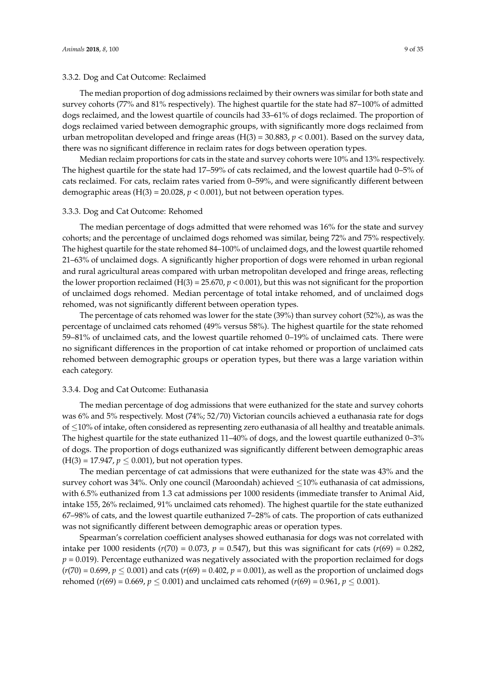#### 3.3.2. Dog and Cat Outcome: Reclaimed

The median proportion of dog admissions reclaimed by their owners was similar for both state and survey cohorts (77% and 81% respectively). The highest quartile for the state had 87–100% of admitted dogs reclaimed, and the lowest quartile of councils had 33–61% of dogs reclaimed. The proportion of dogs reclaimed varied between demographic groups, with significantly more dogs reclaimed from urban metropolitan developed and fringe areas  $(H(3) = 30.883, p < 0.001)$ . Based on the survey data, there was no significant difference in reclaim rates for dogs between operation types.

Median reclaim proportions for cats in the state and survey cohorts were 10% and 13% respectively. The highest quartile for the state had 17–59% of cats reclaimed, and the lowest quartile had 0–5% of cats reclaimed. For cats, reclaim rates varied from 0–59%, and were significantly different between demographic areas  $(H(3) = 20.028, p < 0.001)$ , but not between operation types.

#### 3.3.3. Dog and Cat Outcome: Rehomed

The median percentage of dogs admitted that were rehomed was 16% for the state and survey cohorts; and the percentage of unclaimed dogs rehomed was similar, being 72% and 75% respectively. The highest quartile for the state rehomed 84–100% of unclaimed dogs, and the lowest quartile rehomed 21–63% of unclaimed dogs. A significantly higher proportion of dogs were rehomed in urban regional and rural agricultural areas compared with urban metropolitan developed and fringe areas, reflecting the lower proportion reclaimed (H(3) = 25.670,  $p < 0.001$ ), but this was not significant for the proportion of unclaimed dogs rehomed. Median percentage of total intake rehomed, and of unclaimed dogs rehomed, was not significantly different between operation types.

The percentage of cats rehomed was lower for the state (39%) than survey cohort (52%), as was the percentage of unclaimed cats rehomed (49% versus 58%). The highest quartile for the state rehomed 59–81% of unclaimed cats, and the lowest quartile rehomed 0–19% of unclaimed cats. There were no significant differences in the proportion of cat intake rehomed or proportion of unclaimed cats rehomed between demographic groups or operation types, but there was a large variation within each category.

## 3.3.4. Dog and Cat Outcome: Euthanasia

The median percentage of dog admissions that were euthanized for the state and survey cohorts was 6% and 5% respectively. Most (74%; 52/70) Victorian councils achieved a euthanasia rate for dogs of ≤10% of intake, often considered as representing zero euthanasia of all healthy and treatable animals. The highest quartile for the state euthanized 11–40% of dogs, and the lowest quartile euthanized 0–3% of dogs. The proportion of dogs euthanized was significantly different between demographic areas  $(H(3) = 17.947, p \le 0.001)$ , but not operation types.

The median percentage of cat admissions that were euthanized for the state was 43% and the survey cohort was 34%. Only one council (Maroondah) achieved ≤10% euthanasia of cat admissions, with 6.5% euthanized from 1.3 cat admissions per 1000 residents (immediate transfer to Animal Aid, intake 155, 26% reclaimed, 91% unclaimed cats rehomed). The highest quartile for the state euthanized 67–98% of cats, and the lowest quartile euthanized 7–28% of cats. The proportion of cats euthanized was not significantly different between demographic areas or operation types.

Spearman's correlation coefficient analyses showed euthanasia for dogs was not correlated with intake per 1000 residents ( $r(70) = 0.073$ ,  $p = 0.547$ ), but this was significant for cats ( $r(69) = 0.282$ ,  $p = 0.019$ ). Percentage euthanized was negatively associated with the proportion reclaimed for dogs  $(r(70) = 0.699, p \le 0.001)$  and cats  $(r(69) = 0.402, p = 0.001)$ , as well as the proportion of unclaimed dogs rehomed ( $r(69) = 0.669$ ,  $p \le 0.001$ ) and unclaimed cats rehomed ( $r(69) = 0.961$ ,  $p \le 0.001$ ).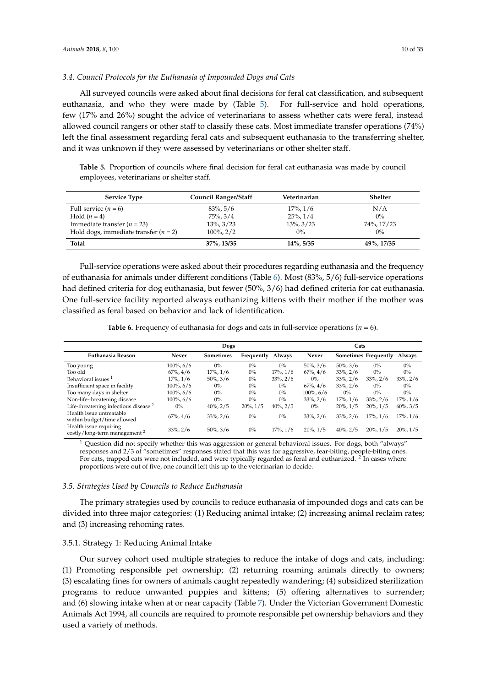## *3.4. Council Protocols for the Euthanasia of Impounded Dogs and Cats*

All surveyed councils were asked about final decisions for feral cat classification, and subsequent euthanasia, and who they were made by (Table [5\)](#page-9-0). For full-service and hold operations, few (17% and 26%) sought the advice of veterinarians to assess whether cats were feral, instead allowed council rangers or other staff to classify these cats. Most immediate transfer operations (74%) left the final assessment regarding feral cats and subsequent euthanasia to the transferring shelter, and it was unknown if they were assessed by veterinarians or other shelter staff.

<span id="page-9-0"></span>**Table 5.** Proportion of councils where final decision for feral cat euthanasia was made by council employees, veterinarians or shelter staff.

| <b>Service Type</b>                     | <b>Council Ranger/Staff</b> | Veterinarian    | Shelter    |
|-----------------------------------------|-----------------------------|-----------------|------------|
| Full-service $(n = 6)$                  | $83\%$ , 5/6                | $17\%, 1/6$     | N/A        |
| Hold $(n=4)$                            | $75\%$ , $3/4$              | $25\%, 1/4$     | $0\%$      |
| Immediate transfer $(n = 23)$           | $13\%, 3/23$                | $13\%$ , $3/23$ | 74%, 17/23 |
| Hold dogs, immediate transfer $(n = 2)$ | $100\%$ , $2/2$             | $0\%$           | $0\%$      |
| Total                                   | 37%, 13/35                  | $14\%$ , 5/35   | 49%, 17/35 |

Full-service operations were asked about their procedures regarding euthanasia and the frequency of euthanasia for animals under different conditions (Table [6\)](#page-9-1). Most (83%, 5/6) full-service operations had defined criteria for dog euthanasia, but fewer (50%, 3/6) had defined criteria for cat euthanasia. One full-service facility reported always euthanizing kittens with their mother if the mother was classified as feral based on behavior and lack of identification.

**Table 6.** Frequency of euthanasia for dogs and cats in full-service operations ( $n = 6$ ).

<span id="page-9-1"></span>

|                                                                    |                | Dogs             |             |                |                | Cats           |                      |                |
|--------------------------------------------------------------------|----------------|------------------|-------------|----------------|----------------|----------------|----------------------|----------------|
| Euthanasia Reason                                                  | Never          | <b>Sometimes</b> | Frequently  | Always         | Never          |                | Sometimes Frequently | Always         |
| Too young                                                          | $100\%$ , 6/6  | $0\%$            | $0\%$       | $0\%$          | $50\%$ , $3/6$ | $50\%$ , $3/6$ | $0\%$                | $0\%$          |
| Too old                                                            | $67\%$ , $4/6$ | $17\%, 1/6$      | $0\%$       | $17\%, 1/6$    | $67\%$ , $4/6$ | $33\%$ , $2/6$ | $0\%$                | $0\%$          |
| Behavioral issues <sup>1</sup>                                     | $17\%$ , $1/6$ | $50\%, 3/6$      | $0\%$       | $33\%, 2/6$    | $0\%$          | $33\%$ , $2/6$ | $33\%, 2/6$          | $33\%, 2/6$    |
| Insufficient space in facility                                     | $100\%$ , 6/6  | $0\%$            | $0\%$       | $0\%$          | $67\%$ , $4/6$ | $33\%$ , $2/6$ | $0\%$                | $0\%$          |
| Too many days in shelter                                           | $100\%$ , 6/6  | $0\%$            | $0\%$       | $0\%$          | $100\%$ , 6/6  | $0\%$          | $0\%$                | $0\%$          |
| Non-life-threatening disease                                       | $100\%$ , 6/6  | $0\%$            | $0\%$       | $0\%$          | $33\%$ , $2/6$ | $17\%$ , $1/6$ | $33\%$ , $2/6$       | $17\%$ , $1/6$ |
| Life-threatening infectious disease <sup>2</sup>                   | $0\%$          | $40\%$ , $2/5$   | $20\%, 1/5$ | $40\%$ , $2/5$ | $0\%$          | $20\%, 1/5$    | $20\%, 1/5$          | $60\%, 3/5$    |
| Health issue untreatable<br>within budget/time allowed             | $67\%$ , $4/6$ | $33\%, 2/6$      | $0\%$       | $0\%$          | $33\%, 2/6$    | $33\%$ , $2/6$ | $17\%$ , $1/6$       | $17\%$ , $1/6$ |
| Health issue requiring<br>costly/long-term management <sup>2</sup> | $33\%, 2/6$    | $50\%, 3/6$      | $0\%$       | $17\%$ , $1/6$ | $20\%$ , $1/5$ | $40\%$ , $2/5$ | $20\%, 1/5$          | $20\%, 1/5$    |

 $1$  Question did not specify whether this was aggression or general behavioral issues. For dogs, both "always" responses and 2/3 of "sometimes" responses stated that this was for aggressive, fear-biting, people-biting ones. For cats, trapped cats were not included, and were typically regarded as feral and euthanized. <sup>2</sup> In cases where proportions were out of five, one council left this up to the veterinarian to decide.

## *3.5. Strategies Used by Councils to Reduce Euthanasia*

The primary strategies used by councils to reduce euthanasia of impounded dogs and cats can be divided into three major categories: (1) Reducing animal intake; (2) increasing animal reclaim rates; and (3) increasing rehoming rates.

## 3.5.1. Strategy 1: Reducing Animal Intake

Our survey cohort used multiple strategies to reduce the intake of dogs and cats, including: (1) Promoting responsible pet ownership; (2) returning roaming animals directly to owners; (3) escalating fines for owners of animals caught repeatedly wandering; (4) subsidized sterilization programs to reduce unwanted puppies and kittens; (5) offering alternatives to surrender; and (6) slowing intake when at or near capacity (Table [7\)](#page-10-0). Under the Victorian Government Domestic Animals Act 1994, all councils are required to promote responsible pet ownership behaviors and they used a variety of methods.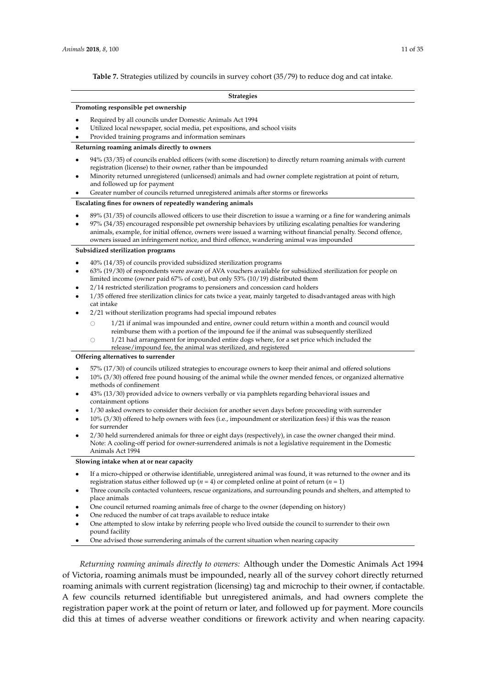#### **Strategies**

#### <span id="page-10-0"></span>**Promoting responsible pet ownership**

- Required by all councils under Domestic Animals Act 1994
- Utilized local newspaper, social media, pet expositions, and school visits
- Provided training programs and information seminars

#### **Returning roaming animals directly to owners**

- 94% (33/35) of councils enabled officers (with some discretion) to directly return roaming animals with current registration (license) to their owner, rather than be impounded
- Minority returned unregistered (unlicensed) animals and had owner complete registration at point of return, and followed up for payment
- Greater number of councils returned unregistered animals after storms or fireworks

#### **Escalating fines for owners of repeatedly wandering animals**

- 89% (31/35) of councils allowed officers to use their discretion to issue a warning or a fine for wandering animals
- 97% (34/35) encouraged responsible pet ownership behaviors by utilizing escalating penalties for wandering animals, example, for initial offence, owners were issued a warning without financial penalty. Second offence, owners issued an infringement notice, and third offence, wandering animal was impounded

#### **Subsidized sterilization programs**

- 40% (14/35) of councils provided subsidized sterilization programs
- 63% (19/30) of respondents were aware of AVA vouchers available for subsidized sterilization for people on limited income (owner paid 67% of cost), but only 53% (10/19) distributed them
- 2/14 restricted sterilization programs to pensioners and concession card holders
- 1/35 offered free sterilization clinics for cats twice a year, mainly targeted to disadvantaged areas with high cat intake
- 2/21 without sterilization programs had special impound rebates
	- $\bigcirc$  1/21 if animal was impounded and entire, owner could return within a month and council would reimburse them with a portion of the impound fee if the animal was subsequently sterilized
	- $\circ$  1/21 had arrangement for impounded entire dogs where, for a set price which included the
		- release/impound fee, the animal was sterilized, and registered

#### **Offering alternatives to surrender**

- 57% (17/30) of councils utilized strategies to encourage owners to keep their animal and offered solutions
- 10% (3/30) offered free pound housing of the animal while the owner mended fences, or organized alternative methods of confinement
- 43% (13/30) provided advice to owners verbally or via pamphlets regarding behavioral issues and containment options
- 1/30 asked owners to consider their decision for another seven days before proceeding with surrender
- 10% (3/30) offered to help owners with fees (i.e., impoundment or sterilization fees) if this was the reason for surrender
- 2/30 held surrendered animals for three or eight days (respectively), in case the owner changed their mind. Note: A cooling-off period for owner-surrendered animals is not a legislative requirement in the Domestic Animals Act 1994

#### **Slowing intake when at or near capacity**

- If a micro-chipped or otherwise identifiable, unregistered animal was found, it was returned to the owner and its registration status either followed up ( $n = 4$ ) or completed online at point of return ( $n = 1$ )
- Three councils contacted volunteers, rescue organizations, and surrounding pounds and shelters, and attempted to place animals
- One council returned roaming animals free of charge to the owner (depending on history)
- One reduced the number of cat traps available to reduce intake
- One attempted to slow intake by referring people who lived outside the council to surrender to their own pound facility
- One advised those surrendering animals of the current situation when nearing capacity

*Returning roaming animals directly to owners:* Although under the Domestic Animals Act 1994 of Victoria, roaming animals must be impounded, nearly all of the survey cohort directly returned roaming animals with current registration (licensing) tag and microchip to their owner, if contactable. A few councils returned identifiable but unregistered animals, and had owners complete the registration paper work at the point of return or later, and followed up for payment. More councils did this at times of adverse weather conditions or firework activity and when nearing capacity.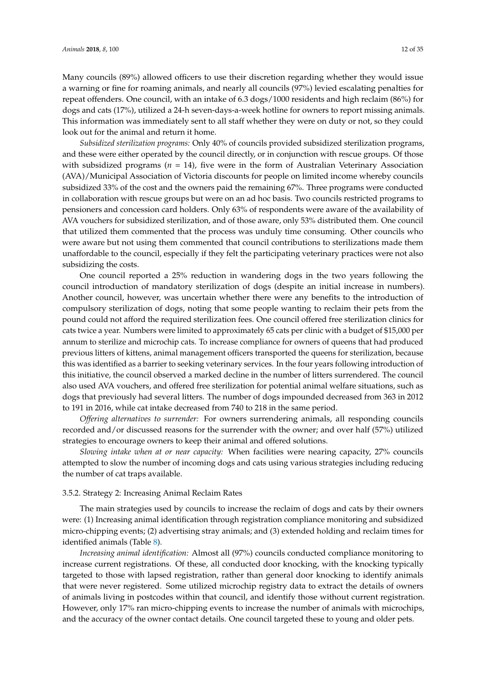Many councils (89%) allowed officers to use their discretion regarding whether they would issue a warning or fine for roaming animals, and nearly all councils (97%) levied escalating penalties for repeat offenders. One council, with an intake of 6.3 dogs/1000 residents and high reclaim (86%) for dogs and cats (17%), utilized a 24-h seven-days-a-week hotline for owners to report missing animals. This information was immediately sent to all staff whether they were on duty or not, so they could look out for the animal and return it home.

*Subsidized sterilization programs:* Only 40% of councils provided subsidized sterilization programs, and these were either operated by the council directly, or in conjunction with rescue groups. Of those with subsidized programs  $(n = 14)$ , five were in the form of Australian Veterinary Association (AVA)/Municipal Association of Victoria discounts for people on limited income whereby councils subsidized 33% of the cost and the owners paid the remaining 67%. Three programs were conducted in collaboration with rescue groups but were on an ad hoc basis. Two councils restricted programs to pensioners and concession card holders. Only 63% of respondents were aware of the availability of AVA vouchers for subsidized sterilization, and of those aware, only 53% distributed them. One council that utilized them commented that the process was unduly time consuming. Other councils who were aware but not using them commented that council contributions to sterilizations made them unaffordable to the council, especially if they felt the participating veterinary practices were not also subsidizing the costs.

One council reported a 25% reduction in wandering dogs in the two years following the council introduction of mandatory sterilization of dogs (despite an initial increase in numbers). Another council, however, was uncertain whether there were any benefits to the introduction of compulsory sterilization of dogs, noting that some people wanting to reclaim their pets from the pound could not afford the required sterilization fees. One council offered free sterilization clinics for cats twice a year. Numbers were limited to approximately 65 cats per clinic with a budget of \$15,000 per annum to sterilize and microchip cats. To increase compliance for owners of queens that had produced previous litters of kittens, animal management officers transported the queens for sterilization, because this was identified as a barrier to seeking veterinary services. In the four years following introduction of this initiative, the council observed a marked decline in the number of litters surrendered. The council also used AVA vouchers, and offered free sterilization for potential animal welfare situations, such as dogs that previously had several litters. The number of dogs impounded decreased from 363 in 2012 to 191 in 2016, while cat intake decreased from 740 to 218 in the same period.

*Offering alternatives to surrender:* For owners surrendering animals, all responding councils recorded and/or discussed reasons for the surrender with the owner; and over half (57%) utilized strategies to encourage owners to keep their animal and offered solutions.

*Slowing intake when at or near capacity:* When facilities were nearing capacity, 27% councils attempted to slow the number of incoming dogs and cats using various strategies including reducing the number of cat traps available.

#### 3.5.2. Strategy 2: Increasing Animal Reclaim Rates

The main strategies used by councils to increase the reclaim of dogs and cats by their owners were: (1) Increasing animal identification through registration compliance monitoring and subsidized micro-chipping events; (2) advertising stray animals; and (3) extended holding and reclaim times for identified animals (Table [8\)](#page-12-0).

*Increasing animal identification:* Almost all (97%) councils conducted compliance monitoring to increase current registrations. Of these, all conducted door knocking, with the knocking typically targeted to those with lapsed registration, rather than general door knocking to identify animals that were never registered. Some utilized microchip registry data to extract the details of owners of animals living in postcodes within that council, and identify those without current registration. However, only 17% ran micro-chipping events to increase the number of animals with microchips, and the accuracy of the owner contact details. One council targeted these to young and older pets.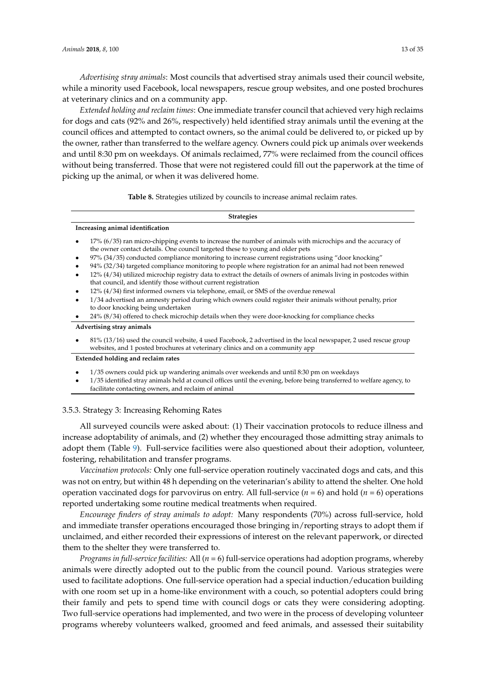*Advertising stray animals*: Most councils that advertised stray animals used their council website, while a minority used Facebook, local newspapers, rescue group websites, and one posted brochures at veterinary clinics and on a community app.

*Extended holding and reclaim times*: One immediate transfer council that achieved very high reclaims for dogs and cats (92% and 26%, respectively) held identified stray animals until the evening at the council offices and attempted to contact owners, so the animal could be delivered to, or picked up by the owner, rather than transferred to the welfare agency. Owners could pick up animals over weekends and until 8:30 pm on weekdays. Of animals reclaimed, 77% were reclaimed from the council offices without being transferred. Those that were not registered could fill out the paperwork at the time of picking up the animal, or when it was delivered home.

**Table 8.** Strategies utilized by councils to increase animal reclaim rates.

#### **Strategies**

#### <span id="page-12-0"></span>**Increasing animal identification**

- 17% (6/35) ran micro-chipping events to increase the number of animals with microchips and the accuracy of the owner contact details. One council targeted these to young and older pets
- 97% (34/35) conducted compliance monitoring to increase current registrations using "door knocking"
- 94% (32/34) targeted compliance monitoring to people where registration for an animal had not been renewed
- 12% (4/34) utilized microchip registry data to extract the details of owners of animals living in postcodes within that council, and identify those without current registration
- $12\%$  (4/34) first informed owners via telephone, email, or SMS of the overdue renewal
- 1/34 advertised an amnesty period during which owners could register their animals without penalty, prior to door knocking being undertaken
- 24% (8/34) offered to check microchip details when they were door-knocking for compliance checks

#### **Advertising stray animals**

• 81% (13/16) used the council website, 4 used Facebook, 2 advertised in the local newspaper, 2 used rescue group websites, and 1 posted brochures at veterinary clinics and on a community app

#### **Extended holding and reclaim rates**

- 1/35 owners could pick up wandering animals over weekends and until 8:30 pm on weekdays
- 1/35 identified stray animals held at council offices until the evening, before being transferred to welfare agency, to facilitate contacting owners, and reclaim of animal

## 3.5.3. Strategy 3: Increasing Rehoming Rates

All surveyed councils were asked about: (1) Their vaccination protocols to reduce illness and increase adoptability of animals, and (2) whether they encouraged those admitting stray animals to adopt them (Table [9\)](#page-13-0). Full-service facilities were also questioned about their adoption, volunteer, fostering, rehabilitation and transfer programs.

*Vaccination protocols:* Only one full-service operation routinely vaccinated dogs and cats, and this was not on entry, but within 48 h depending on the veterinarian's ability to attend the shelter. One hold operation vaccinated dogs for parvovirus on entry. All full-service (*n* = 6) and hold (*n* = 6) operations reported undertaking some routine medical treatments when required.

*Encourage finders of stray animals to adopt:* Many respondents (70%) across full-service, hold and immediate transfer operations encouraged those bringing in/reporting strays to adopt them if unclaimed, and either recorded their expressions of interest on the relevant paperwork, or directed them to the shelter they were transferred to.

*Programs in full-service facilities:* All (*n* = 6) full-service operations had adoption programs, whereby animals were directly adopted out to the public from the council pound. Various strategies were used to facilitate adoptions. One full-service operation had a special induction/education building with one room set up in a home-like environment with a couch, so potential adopters could bring their family and pets to spend time with council dogs or cats they were considering adopting. Two full-service operations had implemented, and two were in the process of developing volunteer programs whereby volunteers walked, groomed and feed animals, and assessed their suitability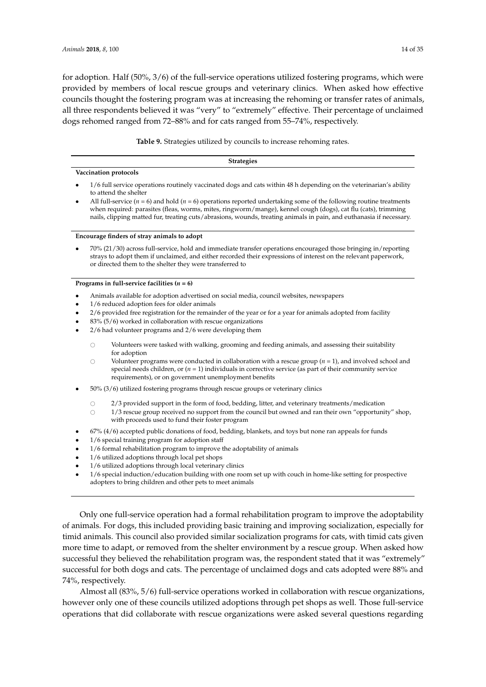for adoption. Half (50%, 3/6) of the full-service operations utilized fostering programs, which were provided by members of local rescue groups and veterinary clinics. When asked how effective councils thought the fostering program was at increasing the rehoming or transfer rates of animals, all three respondents believed it was "very" to "extremely" effective. Their percentage of unclaimed dogs rehomed ranged from 72–88% and for cats ranged from 55–74%, respectively.

**Table 9.** Strategies utilized by councils to increase rehoming rates.

<span id="page-13-0"></span>

| <b>Strategies</b>                                                                                                                           |
|---------------------------------------------------------------------------------------------------------------------------------------------|
| Vaccination protocols                                                                                                                       |
| 1/6 full service operations routinely vaccinated dogs and cats within 48 h depending on the veterinarian's ability<br>to attend the shelter |

All full-service  $(n = 6)$  and hold  $(n = 6)$  operations reported undertaking some of the following routine treatments when required: parasites (fleas, worms, mites, ringworm/mange), kennel cough (dogs), cat flu (cats), trimming nails, clipping matted fur, treating cuts/abrasions, wounds, treating animals in pain, and euthanasia if necessary.

#### **Encourage finders of stray animals to adopt**

• 70% (21/30) across full-service, hold and immediate transfer operations encouraged those bringing in/reporting strays to adopt them if unclaimed, and either recorded their expressions of interest on the relevant paperwork, or directed them to the shelter they were transferred to

**Programs in full-service facilities**  $(n = 6)$ 

- Animals available for adoption advertised on social media, council websites, newspapers
- 1/6 reduced adoption fees for older animals
- 2/6 provided free registration for the remainder of the year or for a year for animals adopted from facility
- 83% (5/6) worked in collaboration with rescue organizations
- 2/6 had volunteer programs and 2/6 were developing them
	- $\circ$  Volunteers were tasked with walking, grooming and feeding animals, and assessing their suitability for adoption
	- $\circ$  Volunteer programs were conducted in collaboration with a rescue group ( $n = 1$ ), and involved school and special needs children, or  $(n = 1)$  individuals in corrective service (as part of their community service requirements), or on government unemployment benefits
- 50% (3/6) utilized fostering programs through rescue groups or veterinary clinics
	- $\degree$  2/3 provided support in the form of food, bedding, litter, and veterinary treatments/medication  $\degree$  1/3 rescue group received no support from the council but owned and ran their own "opportuni
		- 1/3 rescue group received no support from the council but owned and ran their own "opportunity" shop, with proceeds used to fund their foster program
- 67% (4/6) accepted public donations of food, bedding, blankets, and toys but none ran appeals for funds
- 1/6 special training program for adoption staff
- 1/6 formal rehabilitation program to improve the adoptability of animals
- 1/6 utilized adoptions through local pet shops
- 1/6 utilized adoptions through local veterinary clinics
- 1/6 special induction/education building with one room set up with couch in home-like setting for prospective adopters to bring children and other pets to meet animals

Only one full-service operation had a formal rehabilitation program to improve the adoptability of animals. For dogs, this included providing basic training and improving socialization, especially for timid animals. This council also provided similar socialization programs for cats, with timid cats given more time to adapt, or removed from the shelter environment by a rescue group. When asked how successful they believed the rehabilitation program was, the respondent stated that it was "extremely" successful for both dogs and cats. The percentage of unclaimed dogs and cats adopted were 88% and 74%, respectively.

Almost all (83%, 5/6) full-service operations worked in collaboration with rescue organizations, however only one of these councils utilized adoptions through pet shops as well. Those full-service operations that did collaborate with rescue organizations were asked several questions regarding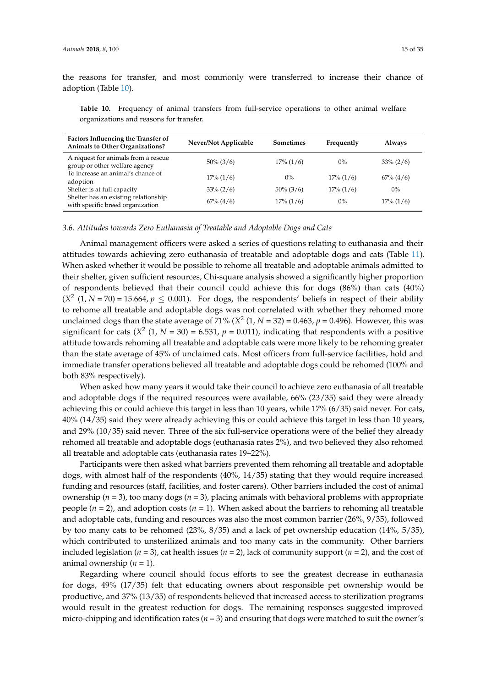the reasons for transfer, and most commonly were transferred to increase their chance of adoption (Table [10\)](#page-14-0).

<span id="page-14-0"></span>**Table 10.** Frequency of animal transfers from full-service operations to other animal welfare organizations and reasons for transfer.

| <b>Factors Influencing the Transfer of</b><br><b>Animals to Other Organizations?</b> | Never/Not Applicable | <b>Sometimes</b> | Frequently   | Always         |
|--------------------------------------------------------------------------------------|----------------------|------------------|--------------|----------------|
| A request for animals from a rescue<br>group or other welfare agency                 | $50\% (3/6)$         | $17\% (1/6)$     | $0\%$        | $33\% (2/6)$   |
| To increase an animal's chance of<br>adoption                                        | $17\% (1/6)$         | $0\%$            | $17\% (1/6)$ | $67\%$ $(4/6)$ |
| Shelter is at full capacity                                                          | $33\% (2/6)$         | $50\% (3/6)$     | $17\% (1/6)$ | $0\%$          |
| Shelter has an existing relationship<br>with specific breed organization             | $67\%$ $(4/6)$       | $17\% (1/6)$     | $0\%$        | $17\% (1/6)$   |

## *3.6. Attitudes towards Zero Euthanasia of Treatable and Adoptable Dogs and Cats*

Animal management officers were asked a series of questions relating to euthanasia and their attitudes towards achieving zero euthanasia of treatable and adoptable dogs and cats (Table [11\)](#page-15-0). When asked whether it would be possible to rehome all treatable and adoptable animals admitted to their shelter, given sufficient resources, Chi-square analysis showed a significantly higher proportion of respondents believed that their council could achieve this for dogs (86%) than cats (40%)  $(X^2 (1, N = 70) = 15.664, p \le 0.001)$ . For dogs, the respondents' beliefs in respect of their ability to rehome all treatable and adoptable dogs was not correlated with whether they rehomed more unclaimed dogs than the state average of 71% ( $X^2$  (1,  $N = 32$ ) = 0.463,  $p = 0.496$ ). However, this was significant for cats  $(X^2 (1, N = 30) = 6.531, p = 0.011)$ , indicating that respondents with a positive attitude towards rehoming all treatable and adoptable cats were more likely to be rehoming greater than the state average of 45% of unclaimed cats. Most officers from full-service facilities, hold and immediate transfer operations believed all treatable and adoptable dogs could be rehomed (100% and both 83% respectively).

When asked how many years it would take their council to achieve zero euthanasia of all treatable and adoptable dogs if the required resources were available, 66% (23/35) said they were already achieving this or could achieve this target in less than 10 years, while 17% (6/35) said never. For cats, 40% (14/35) said they were already achieving this or could achieve this target in less than 10 years, and 29% (10/35) said never. Three of the six full-service operations were of the belief they already rehomed all treatable and adoptable dogs (euthanasia rates 2%), and two believed they also rehomed all treatable and adoptable cats (euthanasia rates 19–22%).

Participants were then asked what barriers prevented them rehoming all treatable and adoptable dogs, with almost half of the respondents (40%, 14/35) stating that they would require increased funding and resources (staff, facilities, and foster carers). Other barriers included the cost of animal ownership (*n* = 3), too many dogs (*n* = 3), placing animals with behavioral problems with appropriate people  $(n = 2)$ , and adoption costs  $(n = 1)$ . When asked about the barriers to rehoming all treatable and adoptable cats, funding and resources was also the most common barrier (26%, 9/35), followed by too many cats to be rehomed (23%, 8/35) and a lack of pet ownership education (14%, 5/35), which contributed to unsterilized animals and too many cats in the community. Other barriers included legislation ( $n = 3$ ), cat health issues ( $n = 2$ ), lack of community support ( $n = 2$ ), and the cost of animal ownership (*n* = 1).

Regarding where council should focus efforts to see the greatest decrease in euthanasia for dogs, 49% (17/35) felt that educating owners about responsible pet ownership would be productive, and 37% (13/35) of respondents believed that increased access to sterilization programs would result in the greatest reduction for dogs. The remaining responses suggested improved micro-chipping and identification rates  $(n = 3)$  and ensuring that dogs were matched to suit the owner's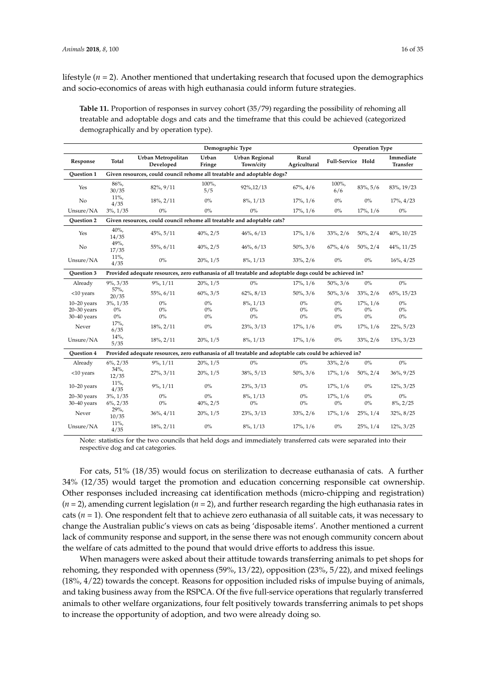lifestyle ( $n = 2$ ). Another mentioned that undertaking research that focused upon the demographics and socio-economics of areas with high euthanasia could inform future strategies.

<span id="page-15-0"></span>**Table 11.** Proportion of responses in survey cohort (35/79) regarding the possibility of rehoming all treatable and adoptable dogs and cats and the timeframe that this could be achieved (categorized demographically and by operation type).

|                   | Demographic Type<br><b>Operation Type</b><br>Urban<br>Urban Metropolitan<br>Rural |                                                                                                        |                |                                    |                |                   |                |                              |  |  |  |  |  |  |
|-------------------|-----------------------------------------------------------------------------------|--------------------------------------------------------------------------------------------------------|----------------|------------------------------------|----------------|-------------------|----------------|------------------------------|--|--|--|--|--|--|
| Response          | <b>Total</b>                                                                      | Developed                                                                                              | Fringe         | <b>Urban Regional</b><br>Town/city | Agricultural   | Full-Service Hold |                | Immediate<br><b>Transfer</b> |  |  |  |  |  |  |
| <b>Ouestion 1</b> |                                                                                   | Given resources, could council rehome all treatable and adoptable dogs?                                |                |                                    |                |                   |                |                              |  |  |  |  |  |  |
| Yes               | 86%,<br>30/35                                                                     | 82%, 9/11                                                                                              | 100%,<br>5/5   | 92%,12/13                          | $67\%$ , $4/6$ | 100%,<br>6/6      | 83%, 5/6       | 83%, 19/23                   |  |  |  |  |  |  |
| No                | $11\%$ ,<br>4/35                                                                  | $18\%$ , $2/11$                                                                                        | $0\%$          | $8\%, 1/13$                        | $17\%, 1/6$    | $0\%$             | $0\%$          | $17\%$ , $4/23$              |  |  |  |  |  |  |
| Unsure/NA         | $3\%, 1/35$                                                                       | $0\%$                                                                                                  | $0\%$          | $0\%$                              | $17\%, 1/6$    | $0\%$             | $17\%, 1/6$    | $0\%$                        |  |  |  |  |  |  |
| <b>Ouestion 2</b> |                                                                                   | Given resources, could council rehome all treatable and adoptable cats?                                |                |                                    |                |                   |                |                              |  |  |  |  |  |  |
| Yes               | $40%$ ,<br>14/35                                                                  | 45%, 5/11                                                                                              | $40\%, 2/5$    | $46\%, 6/13$                       | $17\%, 1/6$    | $33\%, 2/6$       | $50\%$ , $2/4$ | 40%, 10/25                   |  |  |  |  |  |  |
| No                | 49%,<br>17/35                                                                     | 55%, 6/11                                                                                              | $40\%$ , $2/5$ | 46%, 6/13                          | $50\%$ , $3/6$ | $67\%$ , $4/6$    | $50\%$ , $2/4$ | 44%, 11/25                   |  |  |  |  |  |  |
| Unsure/NA         | $11\%$ ,<br>4/35                                                                  | $0\%$                                                                                                  | $20\%, 1/5$    | $8\%, 1/13$                        | $33\%, 2/6$    | $0\%$             | $0\%$          | $16\%, 4/25$                 |  |  |  |  |  |  |
| <b>Ouestion 3</b> |                                                                                   | Provided adequate resources, zero euthanasia of all treatable and adoptable dogs could be achieved in? |                |                                    |                |                   |                |                              |  |  |  |  |  |  |
| Already           | $9\%, 3/35$                                                                       | $9\%, 1/11$                                                                                            | $20\%, 1/5$    | $0\%$                              | $17\%, 1/6$    | $50\%, 3/6$       | $0\%$          | $0\%$                        |  |  |  |  |  |  |
| $<$ 10 years      | 57%,<br>20/35                                                                     | 55%, 6/11                                                                                              | $60\%$ , $3/5$ | $62\%, 8/13$                       | $50\%, 3/6$    | $50\%, 3/6$       | $33\%, 2/6$    | 65%, 15/23                   |  |  |  |  |  |  |
| $10-20$ years     | $3\%, 1/35$                                                                       | $0\%$                                                                                                  | $0\%$          | 8%, 1/13                           | $0\%$          | $0\%$             | $17\%, 1/6$    | $0\%$                        |  |  |  |  |  |  |
| $20 - 30$ years   | $0\%$                                                                             | $0\%$                                                                                                  | $0\%$          | $0\%$                              | $0\%$          | $0\%$             | $0\%$          | $0\%$                        |  |  |  |  |  |  |
| 30-40 years       | $0\%$                                                                             | $0\%$                                                                                                  | $0\%$          | $0\%$                              | $0\%$          | $0\%$             | $0\%$          | $0\%$                        |  |  |  |  |  |  |
| Never             | $17%$ ,<br>6/35                                                                   | $18\%, 2/11$                                                                                           | $0\%$          | $23\%, 3/13$                       | $17\%, 1/6$    | $0\%$             | $17\%, 1/6$    | 22%, 5/23                    |  |  |  |  |  |  |
| Unsure/NA         | $14%$ ,<br>5/35                                                                   | $18\%, 2/11$                                                                                           | $20\%, 1/5$    | $8\%, 1/13$                        | $17\%, 1/6$    | $0\%$             | $33\%, 2/6$    | $13\%$ , $3/23$              |  |  |  |  |  |  |
| <b>Ouestion 4</b> |                                                                                   | Provided adequate resources, zero euthanasia of all treatable and adoptable cats could be achieved in? |                |                                    |                |                   |                |                              |  |  |  |  |  |  |
| Already           | $6\%, 2/35$                                                                       | $9\%, 1/11$                                                                                            | $20\%$ , $1/5$ | $0\%$                              | $0\%$          | $33\%$ , $2/6$    | $0\%$          | $0\%$                        |  |  |  |  |  |  |
| $<$ 10 years      | $34\%$ ,<br>12/35                                                                 | $27\%, 3/11$                                                                                           | $20\%, 1/5$    | 38%, 5/13                          | $50\%, 3/6$    | $17\%, 1/6$       | $50\%$ , $2/4$ | 36%, 9/25                    |  |  |  |  |  |  |
| $10-20$ years     | $11\%$ ,<br>4/35                                                                  | $9\%, 1/11$                                                                                            | $0\%$          | $23\%, 3/13$                       | $0\%$          | $17\%, 1/6$       | $0\%$          | 12%, 3/25                    |  |  |  |  |  |  |
| $20-30$ years     | $3\%, 1/35$                                                                       | $0\%$                                                                                                  | $0\%$          | $8\%, 1/13$                        | $0\%$          | $17\%, 1/6$       | $0\%$          | $0\%$                        |  |  |  |  |  |  |
| $30 - 40$ years   | $6\%, 2/35$                                                                       | $0\%$                                                                                                  | $40\%, 2/5$    | $0\%$                              | $0\%$          | $0\%$             | $0\%$          | $8\%, 2/25$                  |  |  |  |  |  |  |
| Never             | 29%,<br>10/35                                                                     | $36\%, 4/11$                                                                                           | $20\%$ , $1/5$ | $23\%, 3/13$                       | $33\%, 2/6$    | $17\%, 1/6$       | $25\%, 1/4$    | 32%, 8/25                    |  |  |  |  |  |  |
| Unsure/NA         | $11\%$ ,<br>4/35                                                                  | $18\%, 2/11$                                                                                           | $0\%$          | $8\%, 1/13$                        | $17\%, 1/6$    | $0\%$             | $25\%, 1/4$    | $12\%, 3/25$                 |  |  |  |  |  |  |

Note: statistics for the two councils that held dogs and immediately transferred cats were separated into their respective dog and cat categories.

For cats, 51% (18/35) would focus on sterilization to decrease euthanasia of cats. A further 34% (12/35) would target the promotion and education concerning responsible cat ownership. Other responses included increasing cat identification methods (micro-chipping and registration) (*n* = 2), amending current legislation (*n* = 2), and further research regarding the high euthanasia rates in cats (*n* = 1). One respondent felt that to achieve zero euthanasia of all suitable cats, it was necessary to change the Australian public's views on cats as being 'disposable items'. Another mentioned a current lack of community response and support, in the sense there was not enough community concern about the welfare of cats admitted to the pound that would drive efforts to address this issue.

When managers were asked about their attitude towards transferring animals to pet shops for rehoming, they responded with openness (59%, 13/22), opposition (23%, 5/22), and mixed feelings (18%, 4/22) towards the concept. Reasons for opposition included risks of impulse buying of animals, and taking business away from the RSPCA. Of the five full-service operations that regularly transferred animals to other welfare organizations, four felt positively towards transferring animals to pet shops to increase the opportunity of adoption, and two were already doing so.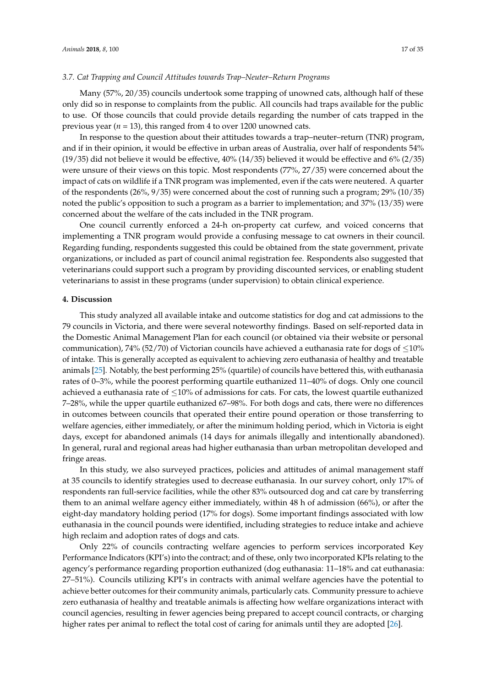#### *3.7. Cat Trapping and Council Attitudes towards Trap–Neuter–Return Programs*

Many (57%, 20/35) councils undertook some trapping of unowned cats, although half of these only did so in response to complaints from the public. All councils had traps available for the public to use. Of those councils that could provide details regarding the number of cats trapped in the previous year (*n* = 13), this ranged from 4 to over 1200 unowned cats.

In response to the question about their attitudes towards a trap–neuter–return (TNR) program, and if in their opinion, it would be effective in urban areas of Australia, over half of respondents 54% (19/35) did not believe it would be effective, 40% (14/35) believed it would be effective and 6% (2/35) were unsure of their views on this topic. Most respondents (77%, 27/35) were concerned about the impact of cats on wildlife if a TNR program was implemented, even if the cats were neutered. A quarter of the respondents (26%, 9/35) were concerned about the cost of running such a program; 29% (10/35) noted the public's opposition to such a program as a barrier to implementation; and 37% (13/35) were concerned about the welfare of the cats included in the TNR program.

One council currently enforced a 24-h on-property cat curfew, and voiced concerns that implementing a TNR program would provide a confusing message to cat owners in their council. Regarding funding, respondents suggested this could be obtained from the state government, private organizations, or included as part of council animal registration fee. Respondents also suggested that veterinarians could support such a program by providing discounted services, or enabling student veterinarians to assist in these programs (under supervision) to obtain clinical experience.

## **4. Discussion**

This study analyzed all available intake and outcome statistics for dog and cat admissions to the 79 councils in Victoria, and there were several noteworthy findings. Based on self-reported data in the Domestic Animal Management Plan for each council (or obtained via their website or personal communication), 74% (52/70) of Victorian councils have achieved a euthanasia rate for dogs of  $\leq$ 10% of intake. This is generally accepted as equivalent to achieving zero euthanasia of healthy and treatable animals [\[25\]](#page-31-2). Notably, the best performing 25% (quartile) of councils have bettered this, with euthanasia rates of 0–3%, while the poorest performing quartile euthanized 11–40% of dogs. Only one council achieved a euthanasia rate of  $\leq 10\%$  of admissions for cats. For cats, the lowest quartile euthanized 7–28%, while the upper quartile euthanized 67–98%. For both dogs and cats, there were no differences in outcomes between councils that operated their entire pound operation or those transferring to welfare agencies, either immediately, or after the minimum holding period, which in Victoria is eight days, except for abandoned animals (14 days for animals illegally and intentionally abandoned). In general, rural and regional areas had higher euthanasia than urban metropolitan developed and fringe areas.

In this study, we also surveyed practices, policies and attitudes of animal management staff at 35 councils to identify strategies used to decrease euthanasia. In our survey cohort, only 17% of respondents ran full-service facilities, while the other 83% outsourced dog and cat care by transferring them to an animal welfare agency either immediately, within 48 h of admission (66%), or after the eight-day mandatory holding period (17% for dogs). Some important findings associated with low euthanasia in the council pounds were identified, including strategies to reduce intake and achieve high reclaim and adoption rates of dogs and cats.

Only 22% of councils contracting welfare agencies to perform services incorporated Key Performance Indicators (KPI's) into the contract; and of these, only two incorporated KPIs relating to the agency's performance regarding proportion euthanized (dog euthanasia: 11–18% and cat euthanasia: 27–51%). Councils utilizing KPI's in contracts with animal welfare agencies have the potential to achieve better outcomes for their community animals, particularly cats. Community pressure to achieve zero euthanasia of healthy and treatable animals is affecting how welfare organizations interact with council agencies, resulting in fewer agencies being prepared to accept council contracts, or charging higher rates per animal to reflect the total cost of caring for animals until they are adopted [\[26\]](#page-31-3).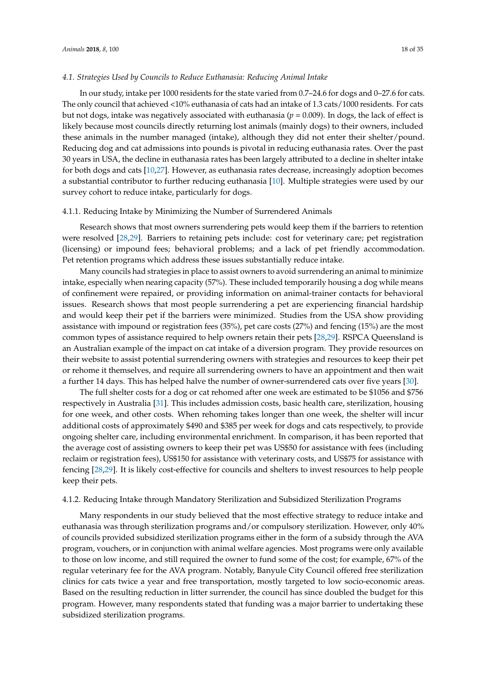#### *4.1. Strategies Used by Councils to Reduce Euthanasia: Reducing Animal Intake*

In our study, intake per 1000 residents for the state varied from 0.7–24.6 for dogs and 0–27.6 for cats. The only council that achieved <10% euthanasia of cats had an intake of 1.3 cats/1000 residents. For cats but not dogs, intake was negatively associated with euthanasia ( $p = 0.009$ ). In dogs, the lack of effect is likely because most councils directly returning lost animals (mainly dogs) to their owners, included these animals in the number managed (intake), although they did not enter their shelter/pound. Reducing dog and cat admissions into pounds is pivotal in reducing euthanasia rates. Over the past 30 years in USA, the decline in euthanasia rates has been largely attributed to a decline in shelter intake for both dogs and cats [\[10](#page-30-8)[,27\]](#page-31-4). However, as euthanasia rates decrease, increasingly adoption becomes a substantial contributor to further reducing euthanasia [\[10\]](#page-30-8). Multiple strategies were used by our survey cohort to reduce intake, particularly for dogs.

## 4.1.1. Reducing Intake by Minimizing the Number of Surrendered Animals

Research shows that most owners surrendering pets would keep them if the barriers to retention were resolved [\[28](#page-31-5)[,29\]](#page-31-6). Barriers to retaining pets include: cost for veterinary care; pet registration (licensing) or impound fees; behavioral problems; and a lack of pet friendly accommodation. Pet retention programs which address these issues substantially reduce intake.

Many councils had strategies in place to assist owners to avoid surrendering an animal to minimize intake, especially when nearing capacity (57%). These included temporarily housing a dog while means of confinement were repaired, or providing information on animal-trainer contacts for behavioral issues. Research shows that most people surrendering a pet are experiencing financial hardship and would keep their pet if the barriers were minimized. Studies from the USA show providing assistance with impound or registration fees (35%), pet care costs (27%) and fencing (15%) are the most common types of assistance required to help owners retain their pets [\[28,](#page-31-5)[29\]](#page-31-6). RSPCA Queensland is an Australian example of the impact on cat intake of a diversion program. They provide resources on their website to assist potential surrendering owners with strategies and resources to keep their pet or rehome it themselves, and require all surrendering owners to have an appointment and then wait a further 14 days. This has helped halve the number of owner-surrendered cats over five years [\[30\]](#page-31-7).

The full shelter costs for a dog or cat rehomed after one week are estimated to be \$1056 and \$756 respectively in Australia [\[31\]](#page-31-8). This includes admission costs, basic health care, sterilization, housing for one week, and other costs. When rehoming takes longer than one week, the shelter will incur additional costs of approximately \$490 and \$385 per week for dogs and cats respectively, to provide ongoing shelter care, including environmental enrichment. In comparison, it has been reported that the average cost of assisting owners to keep their pet was US\$50 for assistance with fees (including reclaim or registration fees), US\$150 for assistance with veterinary costs, and US\$75 for assistance with fencing [\[28,](#page-31-5)[29\]](#page-31-6). It is likely cost-effective for councils and shelters to invest resources to help people keep their pets.

#### 4.1.2. Reducing Intake through Mandatory Sterilization and Subsidized Sterilization Programs

Many respondents in our study believed that the most effective strategy to reduce intake and euthanasia was through sterilization programs and/or compulsory sterilization. However, only 40% of councils provided subsidized sterilization programs either in the form of a subsidy through the AVA program, vouchers, or in conjunction with animal welfare agencies. Most programs were only available to those on low income, and still required the owner to fund some of the cost; for example, 67% of the regular veterinary fee for the AVA program. Notably, Banyule City Council offered free sterilization clinics for cats twice a year and free transportation, mostly targeted to low socio-economic areas. Based on the resulting reduction in litter surrender, the council has since doubled the budget for this program. However, many respondents stated that funding was a major barrier to undertaking these subsidized sterilization programs.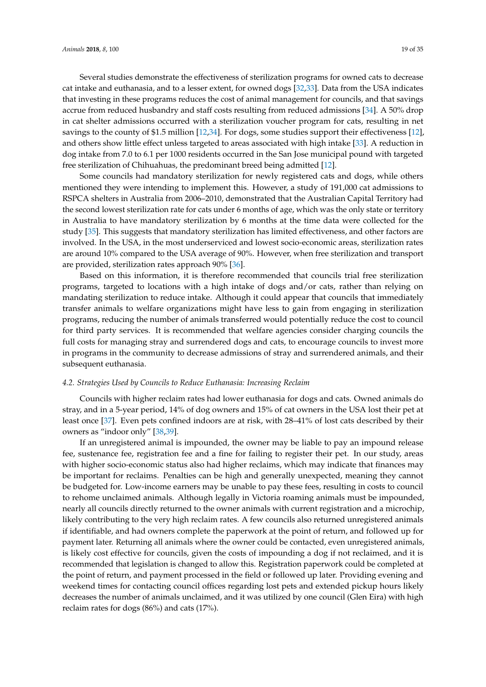Several studies demonstrate the effectiveness of sterilization programs for owned cats to decrease cat intake and euthanasia, and to a lesser extent, for owned dogs [\[32](#page-31-9)[,33\]](#page-31-10). Data from the USA indicates that investing in these programs reduces the cost of animal management for councils, and that savings accrue from reduced husbandry and staff costs resulting from reduced admissions [\[34\]](#page-31-11). A 50% drop in cat shelter admissions occurred with a sterilization voucher program for cats, resulting in net savings to the county of \$1.5 million [\[12,](#page-30-18)[34\]](#page-31-11). For dogs, some studies support their effectiveness [\[12\]](#page-30-18), and others show little effect unless targeted to areas associated with high intake [\[33\]](#page-31-10). A reduction in dog intake from 7.0 to 6.1 per 1000 residents occurred in the San Jose municipal pound with targeted free sterilization of Chihuahuas, the predominant breed being admitted [\[12\]](#page-30-18).

Some councils had mandatory sterilization for newly registered cats and dogs, while others mentioned they were intending to implement this. However, a study of 191,000 cat admissions to RSPCA shelters in Australia from 2006–2010, demonstrated that the Australian Capital Territory had the second lowest sterilization rate for cats under 6 months of age, which was the only state or territory in Australia to have mandatory sterilization by 6 months at the time data were collected for the study [\[35\]](#page-31-12). This suggests that mandatory sterilization has limited effectiveness, and other factors are involved. In the USA, in the most underserviced and lowest socio-economic areas, sterilization rates are around 10% compared to the USA average of 90%. However, when free sterilization and transport are provided, sterilization rates approach 90% [\[36\]](#page-31-13).

Based on this information, it is therefore recommended that councils trial free sterilization programs, targeted to locations with a high intake of dogs and/or cats, rather than relying on mandating sterilization to reduce intake. Although it could appear that councils that immediately transfer animals to welfare organizations might have less to gain from engaging in sterilization programs, reducing the number of animals transferred would potentially reduce the cost to council for third party services. It is recommended that welfare agencies consider charging councils the full costs for managing stray and surrendered dogs and cats, to encourage councils to invest more in programs in the community to decrease admissions of stray and surrendered animals, and their subsequent euthanasia.

## *4.2. Strategies Used by Councils to Reduce Euthanasia: Increasing Reclaim*

Councils with higher reclaim rates had lower euthanasia for dogs and cats. Owned animals do stray, and in a 5-year period, 14% of dog owners and 15% of cat owners in the USA lost their pet at least once [\[37\]](#page-31-14). Even pets confined indoors are at risk, with 28–41% of lost cats described by their owners as "indoor only" [\[38,](#page-31-15)[39\]](#page-31-16).

If an unregistered animal is impounded, the owner may be liable to pay an impound release fee, sustenance fee, registration fee and a fine for failing to register their pet. In our study, areas with higher socio-economic status also had higher reclaims, which may indicate that finances may be important for reclaims. Penalties can be high and generally unexpected, meaning they cannot be budgeted for. Low-income earners may be unable to pay these fees, resulting in costs to council to rehome unclaimed animals. Although legally in Victoria roaming animals must be impounded, nearly all councils directly returned to the owner animals with current registration and a microchip, likely contributing to the very high reclaim rates. A few councils also returned unregistered animals if identifiable, and had owners complete the paperwork at the point of return, and followed up for payment later. Returning all animals where the owner could be contacted, even unregistered animals, is likely cost effective for councils, given the costs of impounding a dog if not reclaimed, and it is recommended that legislation is changed to allow this. Registration paperwork could be completed at the point of return, and payment processed in the field or followed up later. Providing evening and weekend times for contacting council offices regarding lost pets and extended pickup hours likely decreases the number of animals unclaimed, and it was utilized by one council (Glen Eira) with high reclaim rates for dogs (86%) and cats (17%).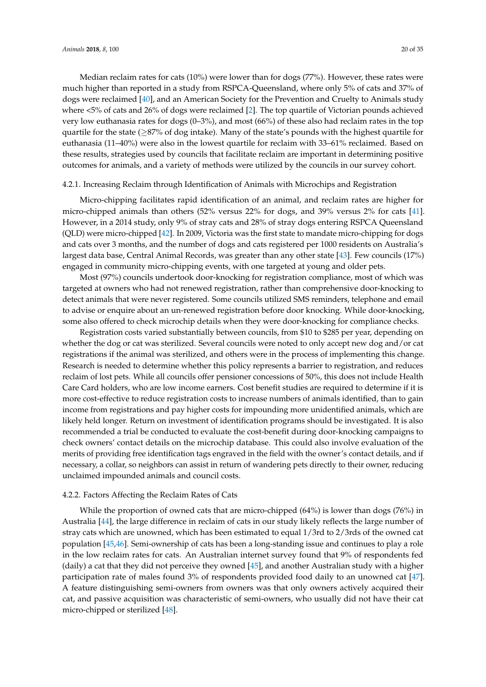Median reclaim rates for cats (10%) were lower than for dogs (77%). However, these rates were much higher than reported in a study from RSPCA-Queensland, where only 5% of cats and 37% of dogs were reclaimed [\[40\]](#page-31-17), and an American Society for the Prevention and Cruelty to Animals study where <5% of cats and 26% of dogs were reclaimed [\[2\]](#page-30-1). The top quartile of Victorian pounds achieved very low euthanasia rates for dogs (0–3%), and most (66%) of these also had reclaim rates in the top quartile for the state ( $\geq$ 87% of dog intake). Many of the state's pounds with the highest quartile for euthanasia (11–40%) were also in the lowest quartile for reclaim with 33–61% reclaimed. Based on these results, strategies used by councils that facilitate reclaim are important in determining positive outcomes for animals, and a variety of methods were utilized by the councils in our survey cohort.

## 4.2.1. Increasing Reclaim through Identification of Animals with Microchips and Registration

Micro-chipping facilitates rapid identification of an animal, and reclaim rates are higher for micro-chipped animals than others (52% versus 22% for dogs, and 39% versus 2% for cats [\[41\]](#page-31-18). However, in a 2014 study, only 9% of stray cats and 28% of stray dogs entering RSPCA Queensland (QLD) were micro-chipped [\[42\]](#page-31-19). In 2009, Victoria was the first state to mandate micro-chipping for dogs and cats over 3 months, and the number of dogs and cats registered per 1000 residents on Australia's largest data base, Central Animal Records, was greater than any other state [\[43\]](#page-31-20). Few councils (17%) engaged in community micro-chipping events, with one targeted at young and older pets.

Most (97%) councils undertook door-knocking for registration compliance, most of which was targeted at owners who had not renewed registration, rather than comprehensive door-knocking to detect animals that were never registered. Some councils utilized SMS reminders, telephone and email to advise or enquire about an un-renewed registration before door knocking. While door-knocking, some also offered to check microchip details when they were door-knocking for compliance checks.

Registration costs varied substantially between councils, from \$10 to \$285 per year, depending on whether the dog or cat was sterilized. Several councils were noted to only accept new dog and/or cat registrations if the animal was sterilized, and others were in the process of implementing this change. Research is needed to determine whether this policy represents a barrier to registration, and reduces reclaim of lost pets. While all councils offer pensioner concessions of 50%, this does not include Health Care Card holders, who are low income earners. Cost benefit studies are required to determine if it is more cost-effective to reduce registration costs to increase numbers of animals identified, than to gain income from registrations and pay higher costs for impounding more unidentified animals, which are likely held longer. Return on investment of identification programs should be investigated. It is also recommended a trial be conducted to evaluate the cost-benefit during door-knocking campaigns to check owners' contact details on the microchip database. This could also involve evaluation of the merits of providing free identification tags engraved in the field with the owner's contact details, and if necessary, a collar, so neighbors can assist in return of wandering pets directly to their owner, reducing unclaimed impounded animals and council costs.

## 4.2.2. Factors Affecting the Reclaim Rates of Cats

While the proportion of owned cats that are micro-chipped (64%) is lower than dogs (76%) in Australia [\[44\]](#page-31-21), the large difference in reclaim of cats in our study likely reflects the large number of stray cats which are unowned, which has been estimated to equal 1/3rd to 2/3rds of the owned cat population [\[45,](#page-31-22)[46\]](#page-31-23). Semi-ownership of cats has been a long-standing issue and continues to play a role in the low reclaim rates for cats. An Australian internet survey found that 9% of respondents fed (daily) a cat that they did not perceive they owned [\[45\]](#page-31-22), and another Australian study with a higher participation rate of males found 3% of respondents provided food daily to an unowned cat [\[47\]](#page-32-0). A feature distinguishing semi-owners from owners was that only owners actively acquired their cat, and passive acquisition was characteristic of semi-owners, who usually did not have their cat micro-chipped or sterilized [\[48\]](#page-32-1).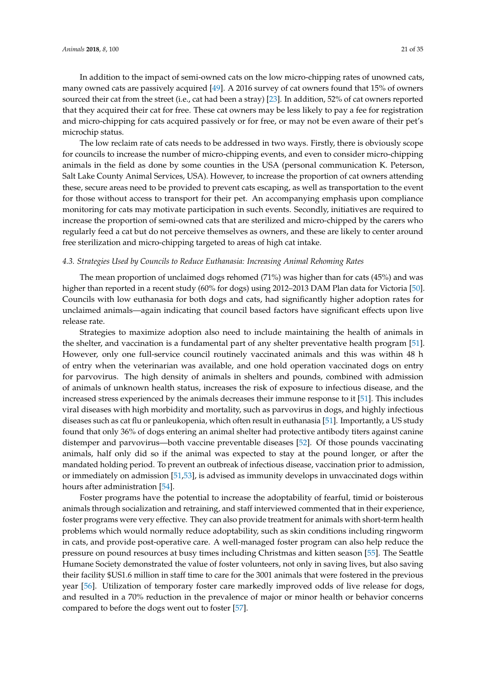In addition to the impact of semi-owned cats on the low micro-chipping rates of unowned cats, many owned cats are passively acquired [\[49\]](#page-32-2). A 2016 survey of cat owners found that 15% of owners sourced their cat from the street (i.e., cat had been a stray) [\[23\]](#page-31-0). In addition, 52% of cat owners reported that they acquired their cat for free. These cat owners may be less likely to pay a fee for registration and micro-chipping for cats acquired passively or for free, or may not be even aware of their pet's microchip status.

The low reclaim rate of cats needs to be addressed in two ways. Firstly, there is obviously scope for councils to increase the number of micro-chipping events, and even to consider micro-chipping animals in the field as done by some counties in the USA (personal communication K. Peterson, Salt Lake County Animal Services, USA). However, to increase the proportion of cat owners attending these, secure areas need to be provided to prevent cats escaping, as well as transportation to the event for those without access to transport for their pet. An accompanying emphasis upon compliance monitoring for cats may motivate participation in such events. Secondly, initiatives are required to increase the proportion of semi-owned cats that are sterilized and micro-chipped by the carers who regularly feed a cat but do not perceive themselves as owners, and these are likely to center around free sterilization and micro-chipping targeted to areas of high cat intake.

## *4.3. Strategies Used by Councils to Reduce Euthanasia: Increasing Animal Rehoming Rates*

The mean proportion of unclaimed dogs rehomed (71%) was higher than for cats (45%) and was higher than reported in a recent study (60% for dogs) using 2012–2013 DAM Plan data for Victoria [\[50\]](#page-32-3). Councils with low euthanasia for both dogs and cats, had significantly higher adoption rates for unclaimed animals—again indicating that council based factors have significant effects upon live release rate.

Strategies to maximize adoption also need to include maintaining the health of animals in the shelter, and vaccination is a fundamental part of any shelter preventative health program [\[51\]](#page-32-4). However, only one full-service council routinely vaccinated animals and this was within 48 h of entry when the veterinarian was available, and one hold operation vaccinated dogs on entry for parvovirus. The high density of animals in shelters and pounds, combined with admission of animals of unknown health status, increases the risk of exposure to infectious disease, and the increased stress experienced by the animals decreases their immune response to it [\[51\]](#page-32-4). This includes viral diseases with high morbidity and mortality, such as parvovirus in dogs, and highly infectious diseases such as cat flu or panleukopenia, which often result in euthanasia [\[51\]](#page-32-4). Importantly, a US study found that only 36% of dogs entering an animal shelter had protective antibody titers against canine distemper and parvovirus—both vaccine preventable diseases [\[52\]](#page-32-5). Of those pounds vaccinating animals, half only did so if the animal was expected to stay at the pound longer, or after the mandated holding period. To prevent an outbreak of infectious disease, vaccination prior to admission, or immediately on admission [\[51,](#page-32-4)[53\]](#page-32-6), is advised as immunity develops in unvaccinated dogs within hours after administration [\[54\]](#page-32-7).

Foster programs have the potential to increase the adoptability of fearful, timid or boisterous animals through socialization and retraining, and staff interviewed commented that in their experience, foster programs were very effective. They can also provide treatment for animals with short-term health problems which would normally reduce adoptability, such as skin conditions including ringworm in cats, and provide post-operative care. A well-managed foster program can also help reduce the pressure on pound resources at busy times including Christmas and kitten season [\[55\]](#page-32-8). The Seattle Humane Society demonstrated the value of foster volunteers, not only in saving lives, but also saving their facility \$US1.6 million in staff time to care for the 3001 animals that were fostered in the previous year [\[56\]](#page-32-9). Utilization of temporary foster care markedly improved odds of live release for dogs, and resulted in a 70% reduction in the prevalence of major or minor health or behavior concerns compared to before the dogs went out to foster [\[57\]](#page-32-10).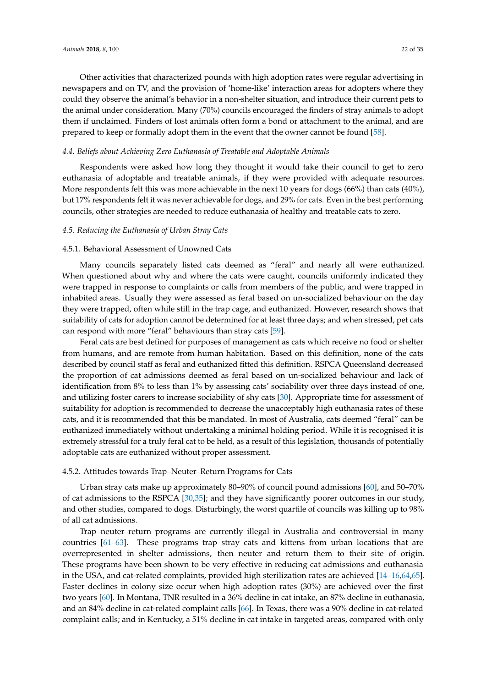Other activities that characterized pounds with high adoption rates were regular advertising in newspapers and on TV, and the provision of 'home-like' interaction areas for adopters where they could they observe the animal's behavior in a non-shelter situation, and introduce their current pets to the animal under consideration. Many (70%) councils encouraged the finders of stray animals to adopt them if unclaimed. Finders of lost animals often form a bond or attachment to the animal, and are prepared to keep or formally adopt them in the event that the owner cannot be found [\[58\]](#page-32-11).

## *4.4. Beliefs about Achieving Zero Euthanasia of Treatable and Adoptable Animals*

Respondents were asked how long they thought it would take their council to get to zero euthanasia of adoptable and treatable animals, if they were provided with adequate resources. More respondents felt this was more achievable in the next 10 years for dogs  $(66%)$  than cats  $(40%)$ , but 17% respondents felt it was never achievable for dogs, and 29% for cats. Even in the best performing councils, other strategies are needed to reduce euthanasia of healthy and treatable cats to zero.

#### *4.5. Reducing the Euthanasia of Urban Stray Cats*

## 4.5.1. Behavioral Assessment of Unowned Cats

Many councils separately listed cats deemed as "feral" and nearly all were euthanized. When questioned about why and where the cats were caught, councils uniformly indicated they were trapped in response to complaints or calls from members of the public, and were trapped in inhabited areas. Usually they were assessed as feral based on un-socialized behaviour on the day they were trapped, often while still in the trap cage, and euthanized. However, research shows that suitability of cats for adoption cannot be determined for at least three days; and when stressed, pet cats can respond with more "feral" behaviours than stray cats [\[59\]](#page-32-12).

Feral cats are best defined for purposes of management as cats which receive no food or shelter from humans, and are remote from human habitation. Based on this definition, none of the cats described by council staff as feral and euthanized fitted this definition. RSPCA Queensland decreased the proportion of cat admissions deemed as feral based on un-socialized behaviour and lack of identification from 8% to less than 1% by assessing cats' sociability over three days instead of one, and utilizing foster carers to increase sociability of shy cats [\[30\]](#page-31-7). Appropriate time for assessment of suitability for adoption is recommended to decrease the unacceptably high euthanasia rates of these cats, and it is recommended that this be mandated. In most of Australia, cats deemed "feral" can be euthanized immediately without undertaking a minimal holding period. While it is recognised it is extremely stressful for a truly feral cat to be held, as a result of this legislation, thousands of potentially adoptable cats are euthanized without proper assessment.

## 4.5.2. Attitudes towards Trap–Neuter–Return Programs for Cats

Urban stray cats make up approximately 80–90% of council pound admissions [\[60\]](#page-32-13), and 50–70% of cat admissions to the RSPCA [\[30](#page-31-7)[,35\]](#page-31-12); and they have significantly poorer outcomes in our study, and other studies, compared to dogs. Disturbingly, the worst quartile of councils was killing up to 98% of all cat admissions.

Trap–neuter–return programs are currently illegal in Australia and controversial in many countries [\[61](#page-32-14)[–63\]](#page-32-15). These programs trap stray cats and kittens from urban locations that are overrepresented in shelter admissions, then neuter and return them to their site of origin. These programs have been shown to be very effective in reducing cat admissions and euthanasia in the USA, and cat-related complaints, provided high sterilization rates are achieved [\[14–](#page-30-11)[16,](#page-30-12)[64,](#page-32-16)[65\]](#page-32-17). Faster declines in colony size occur when high adoption rates (30%) are achieved over the first two years [\[60\]](#page-32-13). In Montana, TNR resulted in a 36% decline in cat intake, an 87% decline in euthanasia, and an 84% decline in cat-related complaint calls [\[66\]](#page-32-18). In Texas, there was a 90% decline in cat-related complaint calls; and in Kentucky, a 51% decline in cat intake in targeted areas, compared with only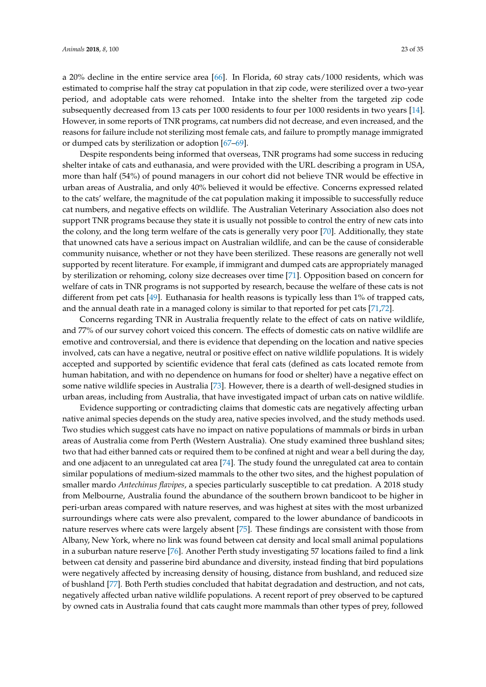a 20% decline in the entire service area [\[66\]](#page-32-18). In Florida, 60 stray cats/1000 residents, which was estimated to comprise half the stray cat population in that zip code, were sterilized over a two-year period, and adoptable cats were rehomed. Intake into the shelter from the targeted zip code subsequently decreased from 13 cats per 1000 residents to four per 1000 residents in two years [\[14\]](#page-30-11). However, in some reports of TNR programs, cat numbers did not decrease, and even increased, and the reasons for failure include not sterilizing most female cats, and failure to promptly manage immigrated or dumped cats by sterilization or adoption [\[67–](#page-32-19)[69\]](#page-32-20).

Despite respondents being informed that overseas, TNR programs had some success in reducing shelter intake of cats and euthanasia, and were provided with the URL describing a program in USA, more than half (54%) of pound managers in our cohort did not believe TNR would be effective in urban areas of Australia, and only 40% believed it would be effective. Concerns expressed related to the cats' welfare, the magnitude of the cat population making it impossible to successfully reduce cat numbers, and negative effects on wildlife. The Australian Veterinary Association also does not support TNR programs because they state it is usually not possible to control the entry of new cats into the colony, and the long term welfare of the cats is generally very poor [\[70\]](#page-32-21). Additionally, they state that unowned cats have a serious impact on Australian wildlife, and can be the cause of considerable community nuisance, whether or not they have been sterilized. These reasons are generally not well supported by recent literature. For example, if immigrant and dumped cats are appropriately managed by sterilization or rehoming, colony size decreases over time [\[71\]](#page-33-0). Opposition based on concern for welfare of cats in TNR programs is not supported by research, because the welfare of these cats is not different from pet cats [\[49\]](#page-32-2). Euthanasia for health reasons is typically less than 1% of trapped cats, and the annual death rate in a managed colony is similar to that reported for pet cats [\[71,](#page-33-0)[72\]](#page-33-1).

Concerns regarding TNR in Australia frequently relate to the effect of cats on native wildlife, and 77% of our survey cohort voiced this concern. The effects of domestic cats on native wildlife are emotive and controversial, and there is evidence that depending on the location and native species involved, cats can have a negative, neutral or positive effect on native wildlife populations. It is widely accepted and supported by scientific evidence that feral cats (defined as cats located remote from human habitation, and with no dependence on humans for food or shelter) have a negative effect on some native wildlife species in Australia [\[73\]](#page-33-2). However, there is a dearth of well-designed studies in urban areas, including from Australia, that have investigated impact of urban cats on native wildlife.

Evidence supporting or contradicting claims that domestic cats are negatively affecting urban native animal species depends on the study area, native species involved, and the study methods used. Two studies which suggest cats have no impact on native populations of mammals or birds in urban areas of Australia come from Perth (Western Australia). One study examined three bushland sites; two that had either banned cats or required them to be confined at night and wear a bell during the day, and one adjacent to an unregulated cat area [\[74\]](#page-33-3). The study found the unregulated cat area to contain similar populations of medium-sized mammals to the other two sites, and the highest population of smaller mardo *Antechinus flavipes*, a species particularly susceptible to cat predation. A 2018 study from Melbourne, Australia found the abundance of the southern brown bandicoot to be higher in peri-urban areas compared with nature reserves, and was highest at sites with the most urbanized surroundings where cats were also prevalent, compared to the lower abundance of bandicoots in nature reserves where cats were largely absent [\[75\]](#page-33-4). These findings are consistent with those from Albany, New York, where no link was found between cat density and local small animal populations in a suburban nature reserve [\[76\]](#page-33-5). Another Perth study investigating 57 locations failed to find a link between cat density and passerine bird abundance and diversity, instead finding that bird populations were negatively affected by increasing density of housing, distance from bushland, and reduced size of bushland [\[77\]](#page-33-6). Both Perth studies concluded that habitat degradation and destruction, and not cats, negatively affected urban native wildlife populations. A recent report of prey observed to be captured by owned cats in Australia found that cats caught more mammals than other types of prey, followed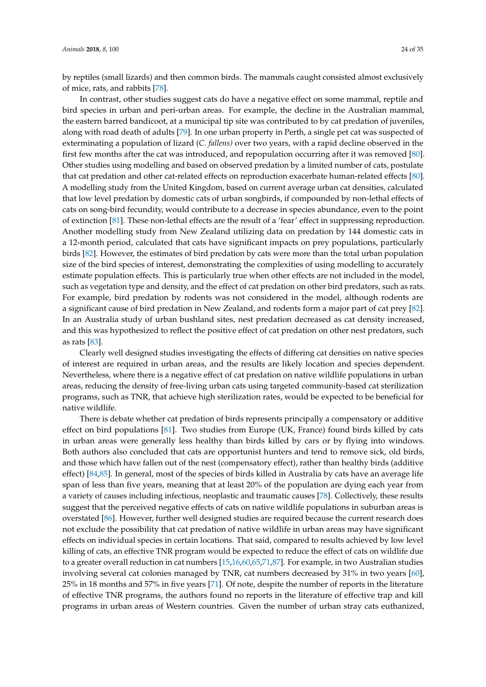by reptiles (small lizards) and then common birds. The mammals caught consisted almost exclusively of mice, rats, and rabbits [\[78\]](#page-33-7).

In contrast, other studies suggest cats do have a negative effect on some mammal, reptile and bird species in urban and peri-urban areas. For example, the decline in the Australian mammal, the eastern barred bandicoot, at a municipal tip site was contributed to by cat predation of juveniles, along with road death of adults [\[79\]](#page-33-8). In one urban property in Perth, a single pet cat was suspected of exterminating a population of lizard (*C. fallens)* over two years, with a rapid decline observed in the first few months after the cat was introduced, and repopulation occurring after it was removed [\[80\]](#page-33-9). Other studies using modelling and based on observed predation by a limited number of cats, postulate that cat predation and other cat-related effects on reproduction exacerbate human-related effects [\[80\]](#page-33-9). A modelling study from the United Kingdom, based on current average urban cat densities, calculated that low level predation by domestic cats of urban songbirds, if compounded by non-lethal effects of cats on song-bird fecundity, would contribute to a decrease in species abundance, even to the point of extinction [\[81\]](#page-33-10). These non-lethal effects are the result of a 'fear' effect in suppressing reproduction. Another modelling study from New Zealand utilizing data on predation by 144 domestic cats in a 12-month period, calculated that cats have significant impacts on prey populations, particularly birds [\[82\]](#page-33-11). However, the estimates of bird predation by cats were more than the total urban population size of the bird species of interest, demonstrating the complexities of using modelling to accurately estimate population effects. This is particularly true when other effects are not included in the model, such as vegetation type and density, and the effect of cat predation on other bird predators, such as rats. For example, bird predation by rodents was not considered in the model, although rodents are a significant cause of bird predation in New Zealand, and rodents form a major part of cat prey [\[82\]](#page-33-11). In an Australia study of urban bushland sites, nest predation decreased as cat density increased, and this was hypothesized to reflect the positive effect of cat predation on other nest predators, such as rats [\[83\]](#page-33-12).

Clearly well designed studies investigating the effects of differing cat densities on native species of interest are required in urban areas, and the results are likely location and species dependent. Nevertheless, where there is a negative effect of cat predation on native wildlife populations in urban areas, reducing the density of free-living urban cats using targeted community-based cat sterilization programs, such as TNR, that achieve high sterilization rates, would be expected to be beneficial for native wildlife.

There is debate whether cat predation of birds represents principally a compensatory or additive effect on bird populations [\[81\]](#page-33-10). Two studies from Europe (UK, France) found birds killed by cats in urban areas were generally less healthy than birds killed by cars or by flying into windows. Both authors also concluded that cats are opportunist hunters and tend to remove sick, old birds, and those which have fallen out of the nest (compensatory effect), rather than healthy birds (additive effect) [\[84,](#page-33-13)[85\]](#page-33-14). In general, most of the species of birds killed in Australia by cats have an average life span of less than five years, meaning that at least 20% of the population are dying each year from a variety of causes including infectious, neoplastic and traumatic causes [\[78\]](#page-33-7). Collectively, these results suggest that the perceived negative effects of cats on native wildlife populations in suburban areas is overstated [\[86\]](#page-33-15). However, further well designed studies are required because the current research does not exclude the possibility that cat predation of native wildlife in urban areas may have significant effects on individual species in certain locations. That said, compared to results achieved by low level killing of cats, an effective TNR program would be expected to reduce the effect of cats on wildlife due to a greater overall reduction in cat numbers [\[15,](#page-30-20)[16](#page-30-12)[,60](#page-32-13)[,65,](#page-32-17)[71](#page-33-0)[,87\]](#page-33-16). For example, in two Australian studies involving several cat colonies managed by TNR, cat numbers decreased by 31% in two years [\[60\]](#page-32-13), 25% in 18 months and 57% in five years [\[71\]](#page-33-0). Of note, despite the number of reports in the literature of effective TNR programs, the authors found no reports in the literature of effective trap and kill programs in urban areas of Western countries. Given the number of urban stray cats euthanized,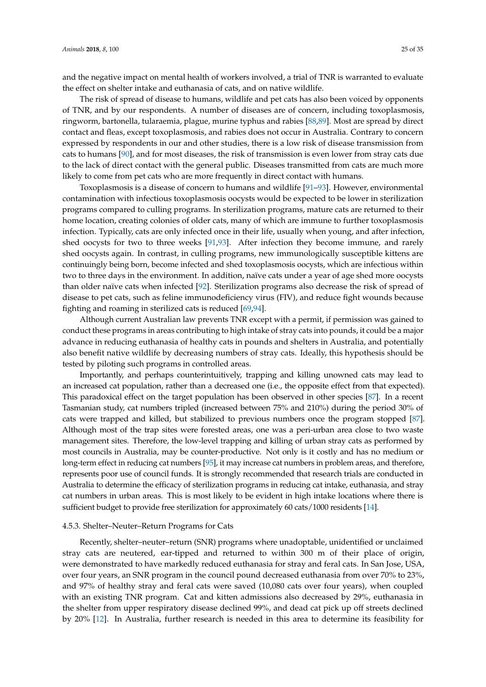and the negative impact on mental health of workers involved, a trial of TNR is warranted to evaluate the effect on shelter intake and euthanasia of cats, and on native wildlife.

The risk of spread of disease to humans, wildlife and pet cats has also been voiced by opponents of TNR, and by our respondents. A number of diseases are of concern, including toxoplasmosis, ringworm, bartonella, tularaemia, plague, murine typhus and rabies [\[88,](#page-33-17)[89\]](#page-33-18). Most are spread by direct contact and fleas, except toxoplasmosis, and rabies does not occur in Australia. Contrary to concern expressed by respondents in our and other studies, there is a low risk of disease transmission from cats to humans [\[90\]](#page-33-19), and for most diseases, the risk of transmission is even lower from stray cats due to the lack of direct contact with the general public. Diseases transmitted from cats are much more likely to come from pet cats who are more frequently in direct contact with humans.

Toxoplasmosis is a disease of concern to humans and wildlife [\[91](#page-33-20)[–93\]](#page-33-21). However, environmental contamination with infectious toxoplasmosis oocysts would be expected to be lower in sterilization programs compared to culling programs. In sterilization programs, mature cats are returned to their home location, creating colonies of older cats, many of which are immune to further toxoplasmosis infection. Typically, cats are only infected once in their life, usually when young, and after infection, shed oocysts for two to three weeks [\[91](#page-33-20)[,93\]](#page-33-21). After infection they become immune, and rarely shed oocysts again. In contrast, in culling programs, new immunologically susceptible kittens are continuingly being born, become infected and shed toxoplasmosis oocysts, which are infectious within two to three days in the environment. In addition, naïve cats under a year of age shed more oocysts than older naïve cats when infected [\[92\]](#page-33-22). Sterilization programs also decrease the risk of spread of disease to pet cats, such as feline immunodeficiency virus (FIV), and reduce fight wounds because fighting and roaming in sterilized cats is reduced [\[69](#page-32-20)[,94\]](#page-33-23).

Although current Australian law prevents TNR except with a permit, if permission was gained to conduct these programs in areas contributing to high intake of stray cats into pounds, it could be a major advance in reducing euthanasia of healthy cats in pounds and shelters in Australia, and potentially also benefit native wildlife by decreasing numbers of stray cats. Ideally, this hypothesis should be tested by piloting such programs in controlled areas.

Importantly, and perhaps counterintuitively, trapping and killing unowned cats may lead to an increased cat population, rather than a decreased one (i.e., the opposite effect from that expected). This paradoxical effect on the target population has been observed in other species [\[87\]](#page-33-16). In a recent Tasmanian study, cat numbers tripled (increased between 75% and 210%) during the period 30% of cats were trapped and killed, but stabilized to previous numbers once the program stopped [\[87\]](#page-33-16). Although most of the trap sites were forested areas, one was a peri-urban area close to two waste management sites. Therefore, the low-level trapping and killing of urban stray cats as performed by most councils in Australia, may be counter-productive. Not only is it costly and has no medium or long-term effect in reducing cat numbers [\[95\]](#page-34-0), it may increase cat numbers in problem areas, and therefore, represents poor use of council funds. It is strongly recommended that research trials are conducted in Australia to determine the efficacy of sterilization programs in reducing cat intake, euthanasia, and stray cat numbers in urban areas. This is most likely to be evident in high intake locations where there is sufficient budget to provide free sterilization for approximately 60 cats/1000 residents [\[14\]](#page-30-11).

#### 4.5.3. Shelter–Neuter–Return Programs for Cats

Recently, shelter–neuter–return (SNR) programs where unadoptable, unidentified or unclaimed stray cats are neutered, ear-tipped and returned to within 300 m of their place of origin, were demonstrated to have markedly reduced euthanasia for stray and feral cats. In San Jose, USA, over four years, an SNR program in the council pound decreased euthanasia from over 70% to 23%, and 97% of healthy stray and feral cats were saved (10,080 cats over four years), when coupled with an existing TNR program. Cat and kitten admissions also decreased by 29%, euthanasia in the shelter from upper respiratory disease declined 99%, and dead cat pick up off streets declined by 20% [\[12\]](#page-30-18). In Australia, further research is needed in this area to determine its feasibility for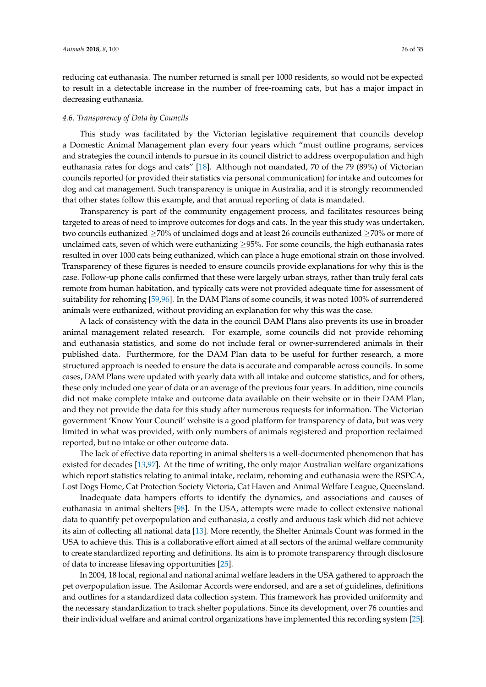reducing cat euthanasia. The number returned is small per 1000 residents, so would not be expected to result in a detectable increase in the number of free-roaming cats, but has a major impact in decreasing euthanasia.

#### *4.6. Transparency of Data by Councils*

This study was facilitated by the Victorian legislative requirement that councils develop a Domestic Animal Management plan every four years which "must outline programs, services and strategies the council intends to pursue in its council district to address overpopulation and high euthanasia rates for dogs and cats" [\[18\]](#page-30-14). Although not mandated, 70 of the 79 (89%) of Victorian councils reported (or provided their statistics via personal communication) for intake and outcomes for dog and cat management. Such transparency is unique in Australia, and it is strongly recommended that other states follow this example, and that annual reporting of data is mandated.

Transparency is part of the community engagement process, and facilitates resources being targeted to areas of need to improve outcomes for dogs and cats. In the year this study was undertaken, two councils euthanized ≥70% of unclaimed dogs and at least 26 councils euthanized ≥70% or more of unclaimed cats, seven of which were euthanizing  $\geq$ 95%. For some councils, the high euthanasia rates resulted in over 1000 cats being euthanized, which can place a huge emotional strain on those involved. Transparency of these figures is needed to ensure councils provide explanations for why this is the case. Follow-up phone calls confirmed that these were largely urban strays, rather than truly feral cats remote from human habitation, and typically cats were not provided adequate time for assessment of suitability for rehoming [\[59,](#page-32-12)[96\]](#page-34-1). In the DAM Plans of some councils, it was noted 100% of surrendered animals were euthanized, without providing an explanation for why this was the case.

A lack of consistency with the data in the council DAM Plans also prevents its use in broader animal management related research. For example, some councils did not provide rehoming and euthanasia statistics, and some do not include feral or owner-surrendered animals in their published data. Furthermore, for the DAM Plan data to be useful for further research, a more structured approach is needed to ensure the data is accurate and comparable across councils. In some cases, DAM Plans were updated with yearly data with all intake and outcome statistics, and for others, these only included one year of data or an average of the previous four years. In addition, nine councils did not make complete intake and outcome data available on their website or in their DAM Plan, and they not provide the data for this study after numerous requests for information. The Victorian government 'Know Your Council' website is a good platform for transparency of data, but was very limited in what was provided, with only numbers of animals registered and proportion reclaimed reported, but no intake or other outcome data.

The lack of effective data reporting in animal shelters is a well-documented phenomenon that has existed for decades [\[13](#page-30-10)[,97\]](#page-34-2). At the time of writing, the only major Australian welfare organizations which report statistics relating to animal intake, reclaim, rehoming and euthanasia were the RSPCA, Lost Dogs Home, Cat Protection Society Victoria, Cat Haven and Animal Welfare League, Queensland.

Inadequate data hampers efforts to identify the dynamics, and associations and causes of euthanasia in animal shelters [\[98\]](#page-34-3). In the USA, attempts were made to collect extensive national data to quantify pet overpopulation and euthanasia, a costly and arduous task which did not achieve its aim of collecting all national data [\[13\]](#page-30-10). More recently, the Shelter Animals Count was formed in the USA to achieve this. This is a collaborative effort aimed at all sectors of the animal welfare community to create standardized reporting and definitions. Its aim is to promote transparency through disclosure of data to increase lifesaving opportunities [\[25\]](#page-31-2).

In 2004, 18 local, regional and national animal welfare leaders in the USA gathered to approach the pet overpopulation issue. The Asilomar Accords were endorsed, and are a set of guidelines, definitions and outlines for a standardized data collection system. This framework has provided uniformity and the necessary standardization to track shelter populations. Since its development, over 76 counties and their individual welfare and animal control organizations have implemented this recording system [\[25\]](#page-31-2).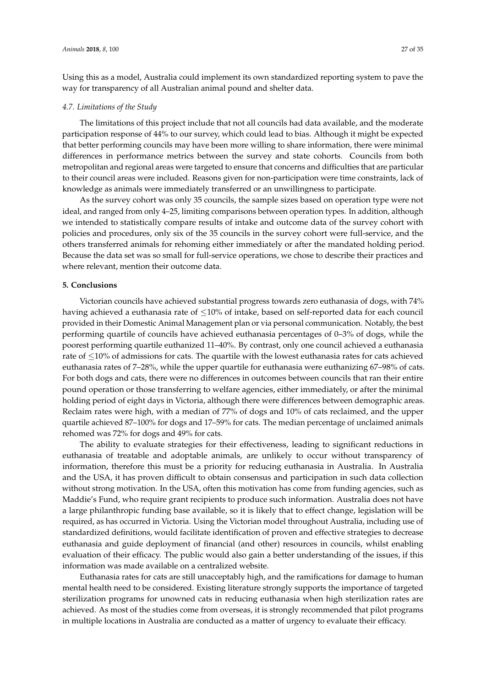Using this as a model, Australia could implement its own standardized reporting system to pave the way for transparency of all Australian animal pound and shelter data.

#### *4.7. Limitations of the Study*

The limitations of this project include that not all councils had data available, and the moderate participation response of 44% to our survey, which could lead to bias. Although it might be expected that better performing councils may have been more willing to share information, there were minimal differences in performance metrics between the survey and state cohorts. Councils from both metropolitan and regional areas were targeted to ensure that concerns and difficulties that are particular to their council areas were included. Reasons given for non-participation were time constraints, lack of knowledge as animals were immediately transferred or an unwillingness to participate.

As the survey cohort was only 35 councils, the sample sizes based on operation type were not ideal, and ranged from only 4–25, limiting comparisons between operation types. In addition, although we intended to statistically compare results of intake and outcome data of the survey cohort with policies and procedures, only six of the 35 councils in the survey cohort were full-service, and the others transferred animals for rehoming either immediately or after the mandated holding period. Because the data set was so small for full-service operations, we chose to describe their practices and where relevant, mention their outcome data.

#### **5. Conclusions**

Victorian councils have achieved substantial progress towards zero euthanasia of dogs, with 74% having achieved a euthanasia rate of  $\leq$ 10% of intake, based on self-reported data for each council provided in their Domestic Animal Management plan or via personal communication. Notably, the best performing quartile of councils have achieved euthanasia percentages of 0–3% of dogs, while the poorest performing quartile euthanized 11–40%. By contrast, only one council achieved a euthanasia rate of ≤10% of admissions for cats. The quartile with the lowest euthanasia rates for cats achieved euthanasia rates of 7–28%, while the upper quartile for euthanasia were euthanizing 67–98% of cats. For both dogs and cats, there were no differences in outcomes between councils that ran their entire pound operation or those transferring to welfare agencies, either immediately, or after the minimal holding period of eight days in Victoria, although there were differences between demographic areas. Reclaim rates were high, with a median of 77% of dogs and 10% of cats reclaimed, and the upper quartile achieved 87–100% for dogs and 17–59% for cats. The median percentage of unclaimed animals rehomed was 72% for dogs and 49% for cats.

The ability to evaluate strategies for their effectiveness, leading to significant reductions in euthanasia of treatable and adoptable animals, are unlikely to occur without transparency of information, therefore this must be a priority for reducing euthanasia in Australia. In Australia and the USA, it has proven difficult to obtain consensus and participation in such data collection without strong motivation. In the USA, often this motivation has come from funding agencies, such as Maddie's Fund, who require grant recipients to produce such information. Australia does not have a large philanthropic funding base available, so it is likely that to effect change, legislation will be required, as has occurred in Victoria. Using the Victorian model throughout Australia, including use of standardized definitions, would facilitate identification of proven and effective strategies to decrease euthanasia and guide deployment of financial (and other) resources in councils, whilst enabling evaluation of their efficacy. The public would also gain a better understanding of the issues, if this information was made available on a centralized website.

Euthanasia rates for cats are still unacceptably high, and the ramifications for damage to human mental health need to be considered. Existing literature strongly supports the importance of targeted sterilization programs for unowned cats in reducing euthanasia when high sterilization rates are achieved. As most of the studies come from overseas, it is strongly recommended that pilot programs in multiple locations in Australia are conducted as a matter of urgency to evaluate their efficacy.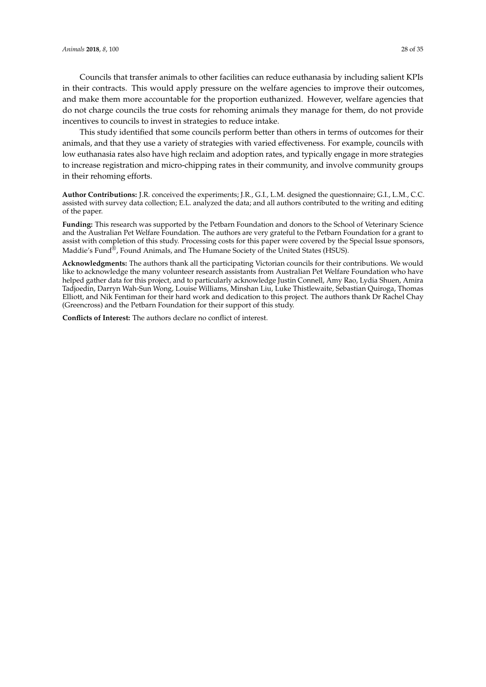Councils that transfer animals to other facilities can reduce euthanasia by including salient KPIs in their contracts. This would apply pressure on the welfare agencies to improve their outcomes, and make them more accountable for the proportion euthanized. However, welfare agencies that do not charge councils the true costs for rehoming animals they manage for them, do not provide incentives to councils to invest in strategies to reduce intake.

This study identified that some councils perform better than others in terms of outcomes for their animals, and that they use a variety of strategies with varied effectiveness. For example, councils with low euthanasia rates also have high reclaim and adoption rates, and typically engage in more strategies to increase registration and micro-chipping rates in their community, and involve community groups in their rehoming efforts.

**Author Contributions:** J.R. conceived the experiments; J.R., G.I., L.M. designed the questionnaire; G.I., L.M., C.C. assisted with survey data collection; E.L. analyzed the data; and all authors contributed to the writing and editing of the paper.

**Funding:** This research was supported by the Petbarn Foundation and donors to the School of Veterinary Science and the Australian Pet Welfare Foundation. The authors are very grateful to the Petbarn Foundation for a grant to assist with completion of this study. Processing costs for this paper were covered by the Special Issue sponsors, Maddie's Fund®, Found Animals, and The Humane Society of the United States (HSUS).

**Acknowledgments:** The authors thank all the participating Victorian councils for their contributions. We would like to acknowledge the many volunteer research assistants from Australian Pet Welfare Foundation who have helped gather data for this project, and to particularly acknowledge Justin Connell, Amy Rao, Lydia Shuen, Amira Tadjoedin, Darryn Wah-Sun Wong, Louise Williams, Minshan Liu, Luke Thistlewaite, Sebastian Quiroga, Thomas Elliott, and Nik Fentiman for their hard work and dedication to this project. The authors thank Dr Rachel Chay (Greencross) and the Petbarn Foundation for their support of this study.

**Conflicts of Interest:** The authors declare no conflict of interest.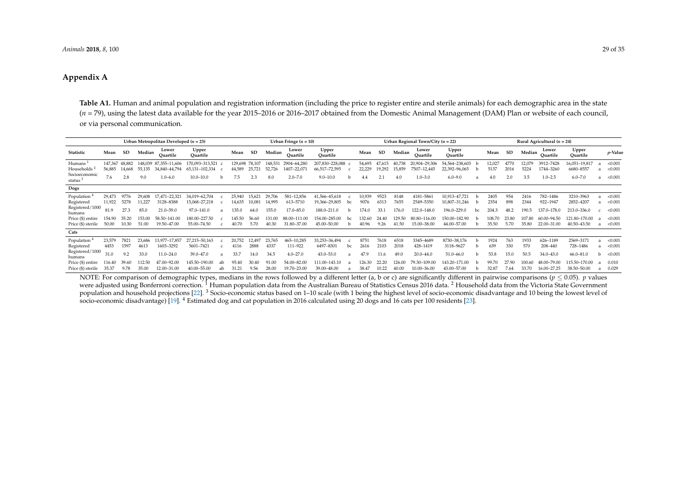# **Appendix A**

**Table A1.** Human and animal population and registration information (including the price to register entire and sterile animals) for each demographic area in the state (*n* = 79), using the latest data available for the year 2015–2016 or 2016–2017 obtained from the Domestic Animal Management (DAM) Plan or website of each council, or via personal communication.

| Urban Metropolitan Developed ( $n = 23$ ) |         |           |        |                       |                   |    |         |        |         | Urban Fringe $(n = 10)$ |                   |    | Urban Regional Town/City ( $n = 22$ ) |           |        |                   |                   |    |        | Rural Agricultural ( $n = 24$ ) |        |                         |                   |   |                 |  |  |
|-------------------------------------------|---------|-----------|--------|-----------------------|-------------------|----|---------|--------|---------|-------------------------|-------------------|----|---------------------------------------|-----------|--------|-------------------|-------------------|----|--------|---------------------------------|--------|-------------------------|-------------------|---|-----------------|--|--|
| <b>Statistic</b>                          | Mean    | <b>SD</b> | Median | Lower<br>Ouartile     | Upper<br>Ouartile |    | Mean    | SD     | Median  | Lower<br>Ouartile       | Upper<br>Ouartile |    | Mean                                  | <b>SD</b> | Median | Lower<br>Ouartile | Upper<br>Ouartile |    | Mean   | SD                              | Median | Lower<br>Ouartile       | Upper<br>Quartile |   | <i>p</i> -Value |  |  |
| Humans                                    | 147.367 | 48.882    |        | 148,039 87,355-11,606 | 70.093-313.521    |    | 129.698 | 78.107 | 148.531 | 2904-64,280             | 207,830-228,088   |    | 54.695                                |           |        | 20.904-29.306     | 54,564-238,603    |    | 2.027  |                                 |        | 3912-7428               | 6,051-19,817      |   | < 0.001         |  |  |
| Households <sup>2</sup>                   | 56,885  | 14.668    | 55,135 | 34,840-44,794         | 65,131-102,334    |    | 44,589  | 25.72  | 52,726  | 1407-22,07              | 66,517-72,595     |    | 22,229                                | 19,292    | 15,859 | 7507-12,445       | 22,392-96,065     |    | 5137   | 2016                            | 5224   | 1744–3260               | 6680-8557         |   | < 0.001         |  |  |
| Socioeconomic<br>status <sup>3</sup>      | 7.6     | 2.8       | 9.0    | $1.0 - 6.0$           | $10.0 - 10.0$     | h  | 7.5     |        | 8.0     | $2.0 - 7.0$             | $9.0 - 10.0$      |    |                                       |           | 4.0    | $1.0 - 3.0$       | $6.0 - 9.0$       | a  |        | 2.0                             | 3.5    | $1.0 - 2.5$             | $6.0 - 7.0$       | a | < 0.001         |  |  |
| Dogs                                      |         |           |        |                       |                   |    |         |        |         |                         |                   |    |                                       |           |        |                   |                   |    |        |                                 |        |                         |                   |   |                 |  |  |
| Population                                | 29,473  | 9776      | 29,608 | 17,471-22,321         | 34,019-62,704     |    | 25,940  | 15.62  | 29,706  | 581-12,856              | 41,566-45,618     |    | 10,939                                | 9523      | 8148   | 4181-5861         | 10,913-47,721     |    | 2405   | 954                             | 241    | 782-1486                | 3210-3963         |   | < 0.001         |  |  |
| Registered                                | 11,922  | 5278      | 11,227 | 3128-8388             | 15,068-27,218     |    | 14.635  | 10,08  | 14.995  | 613-5710                | 19,366-29,805     | bc | 9076                                  | 6313      | 7655   | 2549-5350         | 10,807-31,246     |    | 2354   | 898                             | 2344   | 922-1947                | 2852-4207         |   | < 0.001         |  |  |
| Registered/1000<br>humans                 | 81.9    | 27.3      | 85.0   | 21.0-59.0             | 97.0-141.0        |    | 135.0   | 64.0   | 155.0   | 17.0-85.0               | 188.0-211.0       |    | 174.0                                 | 33.7      | 176.0  | 122.0-148.0       | 196.0-229.0       | bc | 204.3  | 48.2                            | 190.5  | $137.0 - 1$<br>$-178.0$ | 213.0-336.0       |   | < 0.001         |  |  |
| Price (\$) entire                         | 154.90  | 35.20     | 153.00 | 58.50-141.00          | 180.00-227.50     |    |         | 56.60  | 131.00  | 88.00-111.00            | 154.00-285.00     | bc | 132.60                                | 24.40     | 129.50 | 80.80-116.00      | 150.00-182.90     |    | 108.70 | 23.80                           | 107.80 | 60.00-94.50             | 121.80-170.00     |   | < 0.001         |  |  |
| Price (\$) sterile                        | 50.00   | 10.30     | 51.00  | 19.50-47.00           | 55.00-74.50       |    |         | 5.70   | 40.30   | 31.80-37.00             | 45.00-50.00       |    | 10.96                                 | 9.26      | 41.50  | 15.00-38.00       | 44.00-57.00       |    | 35.50  | 5.70                            | 35.80  | 22.00-31.00             | 40.50-43.50       |   | < 0.001         |  |  |
| Cats                                      |         |           |        |                       |                   |    |         |        |         |                         |                   |    |                                       |           |        |                   |                   |    |        |                                 |        |                         |                   |   |                 |  |  |
| Population                                | 23,579  | 7821      | 23,686 | 13.977-17.857         | 27,215-50,163     |    | 20,752  | 12.497 | 23,765  | 465-10,285              | 33,253-36,494     |    | 8751                                  | 7618      | 6518   | 3345-4689         | 8730-38,176       |    | 1924   | 763                             | 1933   | 626-1189                | 2569-3171         |   | < 0.001         |  |  |
| Registered                                | 4453    | 1597      | 4613   | 1603-3292             | 5601-7421         |    | 4116    | 2888   | 4337    | 111-922                 | 6497-8301         | bc | 2616                                  | 2103      | 2018   | 428-1419          | 3118-9627         |    | 639    | 330                             | 570    | 208-440                 | 728-1486          |   | < 0.001         |  |  |
| Registered/1000<br>humans                 | 31.0    | 9.2       | 33.0   | $11.0 - 24.0$         | 39.0-47.0         |    | 33.7    | 14.0   | 34.5    | $4.0 - 27.0$            | 43.0-53.0         |    | 47.9                                  | 11.6      | 49.0   | $20.0 - 44.0$     | 51.0-66.0         |    | 53.8   | 15.0                            | 50.5   | 34.0-43.0               | $66.0 - 81.0$     |   | < 0.001         |  |  |
| Price (\$) entire                         | 116.40  | 39.60     | 112.50 | 47.00-92.00           | 145.50-190.00     | ab | 95.40   | 30.40  | 91.00   | 54.00-82.00             | 111.00-143.10     |    | 126.30                                | 22.20     | 126.00 | 79.30-109.00      | 143.20-171.00     |    | 99.70  | 27.90                           | 100.60 | 48.00-79.00             | 115.50-170.00     |   | 0.010           |  |  |
| Price (\$) sterile                        | 35.37   | 9.78      | 35.00  | 12.00-31.00           | 40.00-55.00       |    | 31.21   | 9.56   | 28.00   | 19.70-23.00             | 39.00-48.00       |    | 38.47                                 | 10.22     | 40.00  | 10.00-36.00       | 43.00-57.00       |    | 32.87  | 7.64                            | 33.70  | 16.00-27.25             | 38.50-50.00       |   | 0.029           |  |  |

<span id="page-28-0"></span>NOTE: For comparison of demographic types, medians in the rows followed by a different letter (a, b or c) are significantly different in pairwise comparisons ( $p < 0.05$ ). *p* values were adjusted using Bonferroni correction.<sup>1</sup> Human population data from the Australian Bureau of Statistics Census 2016 data.<sup>2</sup> Household data from the Victoria State Government population and household projections [\[22\]](#page-30-21). <sup>3</sup> Socio-economic status based on 1-10 scale (with 1 being the highest level of socio-economic disadvantage and 10 being the lowest level of socio-economic disadvantage) [\[19\]](#page-30-22). <sup>4</sup> Estimated dog and cat population in 2016 calculated using 20 dogs and 16 cats per 100 residents [\[23\]](#page-31-24).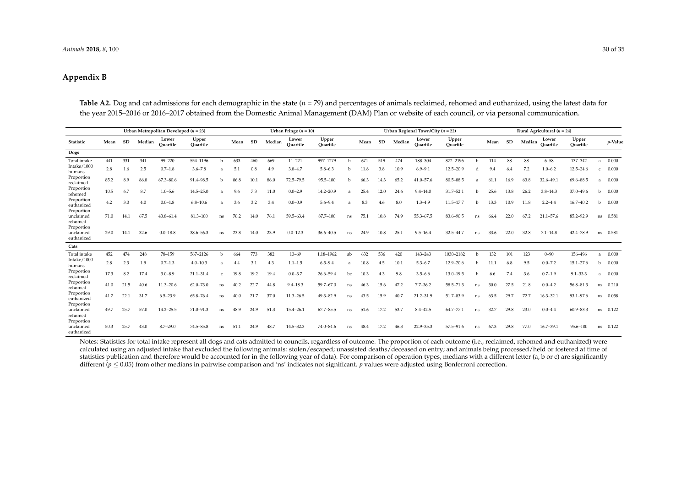# **Appendix B**

Table A2. Dog and cat admissions for each demographic in the state ( $n = 79$ ) and percentages of animals reclaimed, rehomed and euthanized, using the latest data for the year 2015–2016 or 2016–2017 obtained from the Domestic Animal Management (DAM) Plan or website of each council, or via personal communication.

|                                       | Urban Metropolitan Developed ( $n = 23$ ) |      |        |                   |                   |              |      | Urban Fringe $(n = 10)$ |        |                   |                   |     |      |           |        | Urban Regional Town/City ( $n = 22$ ) |                   |                | Rural Agricultural ( $n = 24$ ) |           |        |                   |                   |                     |  |  |
|---------------------------------------|-------------------------------------------|------|--------|-------------------|-------------------|--------------|------|-------------------------|--------|-------------------|-------------------|-----|------|-----------|--------|---------------------------------------|-------------------|----------------|---------------------------------|-----------|--------|-------------------|-------------------|---------------------|--|--|
| Statistic                             | Mean                                      | SD   | Median | Lower<br>Ouartile | Upper<br>Ouartile |              | Mean | SD                      | Median | Lower<br>Ouartile | Upper<br>Ouartile |     | Mean | <b>SD</b> | Median | Lower<br>Ouartile                     | Upper<br>Ouartile |                | Mean                            | <b>SD</b> | Median | Lower<br>Ouartile | Upper<br>Ouartile | p-Value             |  |  |
| Dogs                                  |                                           |      |        |                   |                   |              |      |                         |        |                   |                   |     |      |           |        |                                       |                   |                |                                 |           |        |                   |                   |                     |  |  |
| Total intake                          | 441                                       | 331  | 341    | 99-220            | 554-1196          | h            | 633  | 460                     | 669    | $11 - 221$        | 997-1279          | h   | 671  | 519       | 474    | 188-304                               | 872-2196          | h              | 114                             | 88        | 88     | $6 - 58$          | 137-342           | 0.000<br>a          |  |  |
| Intake/1000<br>humans                 | 2.8                                       | 1.6  | 2.5    | $0.7 - 1.8$       | $3.6 - 7.8$       |              | 5.1  | 0.8                     | 4.9    | $3.8 - 4.7$       | $5.8 - 6.3$       | h   | 11.8 | 3.8       | 10.9   | $6.9 - 9.1$                           | 12.5-20.9         | d              | 9.4                             | 6.4       | 7.2    | $1.0 - 6.2$       | $12.5 - 24.6$     | 0.000<br>$\epsilon$ |  |  |
| Proportion<br>reclaimed               | 85.2                                      | 8.9  | 86.8   | $67.3 - 80.6$     | 91.4-98.5         | <sub>b</sub> | 86.8 | 10.1                    | 86.0   | 72.5-79.5         | $95.5 - 100$      | b   | 66.3 | 14.3      | 65.2   | $41.0 - 57.6$                         | 80.5-88.5         | $\overline{a}$ | 61.1                            | 16.9      | 63.8   | 32.6-49.1         | 69.6-88.5         | 0.000<br>a          |  |  |
| Proportion<br>rehomed                 | 10.5                                      | 6.7  | 8.7    | $1.0 - 5.6$       | $14.5 - 25.0$     |              | 9.6  | 7.3                     | 11.0   | $0.0 - 2.9$       | $14.2 - 20.9$     | a   | 25.4 | 12.0      | 24.6   | $9.4 - 14.0$                          | 31.7-52.1         | h              | 25.6                            | 13.8      | 26.2   | $3.8 - 14.3$      | 37.0-49.6         | 0.000<br>b          |  |  |
| Proportion<br>euthanized              | 4.2                                       | 3.0  | 4.0    | $0.0 - 1.8$       | $6.8 - 10.6$      | a            | 3.6  | 3.2                     | 3.4    | $0.0 - 0.9$       | $5.6 - 9.4$       | a   | 8.3  | 4.6       | 8.0    | $1.3 - 4.9$                           | 11.5-17.7         | b              | 13.3                            | 10.9      | 11.8   | $2.2 - 4.4$       | $16.7 - 40.2$     | 0.000<br>b          |  |  |
| Proportion<br>unclaimed<br>rehomed    | 71.0                                      | 14.1 | 67.5   | $43.8 - 61.4$     | 81.3-100          | ns           | 76.2 | 14.0                    | 76.1   | 59.5-63.4         | 87.7-100          | ns  | 75.1 | 10.8      | 74.9   | 55.3-67.5                             | 83.6-90.5         | ns             | 66.4                            | 22.0      | 67.2   | $21.1 - 57.6$     | 85.2-92.9         | 0.581<br>ns         |  |  |
| Proportion<br>unclaimed<br>euthanized | 29.0                                      | 14.1 | 32.6   | $0.0 - 18.8$      | 38.6-56.3         | ns.          | 23.8 | 14.0                    | 23.9   | $0.0 - 12.3$      | 36.6-40.5         | ns. | 24.9 | 10.8      | 25.1   | $9.5 - 16.4$                          | 32.5-44.7         | ns             | 33.6                            | 22.0      | 32.8   | $7.1 - 14.8$      | $42.4 - 78.9$     | 0.581<br>ns         |  |  |
| Cats                                  |                                           |      |        |                   |                   |              |      |                         |        |                   |                   |     |      |           |        |                                       |                   |                |                                 |           |        |                   |                   |                     |  |  |
| Total intake                          | 452                                       | 474  | 248    | 78-159            | 567-2126          | b.           | 664  | 773                     | 382    | $13 - 69$         | 1.18-1962         | ab  | 632  | 536       | 420    | 143-243                               | 1030-2182         | b              | 132                             | 101       | 123    | $0 - 90$          | 156-496           | 0.000<br>a          |  |  |
| Intake/1000<br>humans                 | 2.8                                       | 2.3  | 1.9    | $0.7 - 1.3$       | $4.0 - 10.3$      | a            | 4.4  | 3.1                     | 4.3    | $1.1 - 1.5$       | $6.5 - 9.4$       | a   | 10.8 | 4.5       | 10.1   | $5.3 - 6.7$                           | 12.9-20.6         | b              | 11.1                            | 6.8       | 9.5    | $0.0 - 7.2$       | $15.1 - 27.6$     | 0.000<br>b          |  |  |
| Proportion<br>reclaimed               | 17.3                                      | 8.2  | 17.4   | $3.0 - 8.9$       | $21.1 - 31.4$     | $\mathbf{C}$ | 19.8 | 19.2                    | 19.4   | $0.0 - 3.7$       | $26.6 - 59.4$     | bc  | 10.3 | 4.3       | 9.8    | $3.5 - 6.6$                           | 13.0-19.5         | h              | 6.6                             | 7.4       | 3.6    | $0.7 - 1.9$       | $9.1 - 33.3$      | 0.000<br>a          |  |  |
| Proportion<br>rehomed                 | 41.0                                      | 21.5 | 40.6   | $11.3 - 20.6$     | $62.0 - 73.0$     | ns.          | 40.2 | 22.7                    | 44.8   | $9.4 - 18.3$      | $59.7 - 67.0$     | ns. | 46.3 | 15.6      | 47.2   | $7.7 - 36.2$                          | 58.5-71.3         | ns             | 30.0                            | 27.5      | 21.8   | $0.0 - 4.2$       | 56.8-81.3         | 0.210<br>ns         |  |  |
| Proportion<br>euthanized              | 41.7                                      | 22.1 | 31.7   | $6.5 - 23.9$      | 65.8-76.4         | ns           | 40.0 | 21.7                    | 37.0   | $11.3 - 26.5$     | 49.3-82.9         | ns. | 43.5 | 15.9      | 40.7   | $21.2 - 31.9$                         | 51.7-83.9         | ns             | 63.5                            | 29.7      | 72.7   | $16.3 - 32.1$     | 93.1-97.6         | 0.058<br>ns         |  |  |
| Proportion<br>unclaimed<br>rehomed    | 49.7                                      | 25.7 | 57.0   | $14.2 - 25.5$     | 71.0-91.3         | ns.          | 48.9 | 24.9                    | 51.3   | 15.4-26.1         | $67.7 - 85.5$     | ns. | 51.6 | 17.2      | 53.7   | $8.4 - 42.5$                          | 64.7-77.1         | ns             | 32.7                            | 29.8      | 23.0   | $0.0 - 4.4$       | $60.9 - 83.3$     | 0.122<br>ns         |  |  |
| Proportion<br>unclaimed<br>euthanized | 50.3                                      | 25.7 | 43.0   | $8.7 - 29.0$      | $74.5 - 85.8$     | ns           | 51.1 | 24.9                    | 48.7   | 14.5-32.3         | 74.0-84.6         | ns. | 48.4 | 17.2      | 46.3   | 22.9-35.3                             | 57.5-91.6         | ns             | 67.3                            | 29.8      | 77.0   | $16.7 - 39.1$     | 95.6-100          | 0.122<br>ns         |  |  |

<span id="page-29-0"></span>Notes: Statistics for total intake represent all dogs and cats admitted to councils, regardless of outcome. The proportion of each outcome (i.e., reclaimed, rehomed and euthanized) were calculated using an adjusted intake that excluded the following animals: stolen/escaped; unassisted deaths/deceased on entry; and animals being processed/held or fostered at time of statistics publication and therefore would be accounted for in the following year of data). For comparison of operation types, medians with a different letter (a, b or c) are significantly different (*p* ≤ 0.05) from other medians in pairwise comparison and 'ns' indicates not significant. *p* values were adjusted using Bonferroni correction.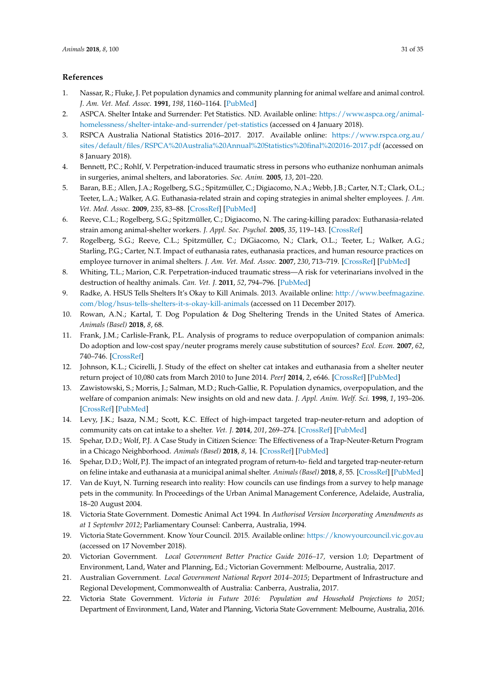## **References**

- <span id="page-30-0"></span>1. Nassar, R.; Fluke, J. Pet population dynamics and community planning for animal welfare and animal control. *J. Am. Vet. Med. Assoc.* **1991**, *198*, 1160–1164. [\[PubMed\]](http://www.ncbi.nlm.nih.gov/pubmed/2045334)
- <span id="page-30-1"></span>2. ASPCA. Shelter Intake and Surrender: Pet Statistics. ND. Available online: [https://www.aspca.org/animal](https://www.aspca.org/animal-homelessness/shelter-intake-and-surrender/pet-statistics)[homelessness/shelter-intake-and-surrender/pet-statistics](https://www.aspca.org/animal-homelessness/shelter-intake-and-surrender/pet-statistics) (accessed on 4 January 2018).
- <span id="page-30-2"></span>3. RSPCA Australia National Statistics 2016–2017. 2017. Available online: [https://www.rspca.org.au/](https://www.rspca.org.au/sites/default/files/RSPCA%20Australia%20Annual%20Statistics%20final%202016-2017.pdf) [sites/default/files/RSPCA%20Australia%20Annual%20Statistics%20final%202016-2017.pdf](https://www.rspca.org.au/sites/default/files/RSPCA%20Australia%20Annual%20Statistics%20final%202016-2017.pdf) (accessed on 8 January 2018).
- <span id="page-30-3"></span>4. Bennett, P.C.; Rohlf, V. Perpetration-induced traumatic stress in persons who euthanize nonhuman animals in surgeries, animal shelters, and laboratories. *Soc. Anim.* **2005**, *13*, 201–220.
- <span id="page-30-4"></span>5. Baran, B.E.; Allen, J.A.; Rogelberg, S.G.; Spitzmüller, C.; Digiacomo, N.A.; Webb, J.B.; Carter, N.T.; Clark, O.L.; Teeter, L.A.; Walker, A.G. Euthanasia-related strain and coping strategies in animal shelter employees. *J. Am. Vet. Med. Assoc.* **2009**, *235*, 83–88. [\[CrossRef\]](http://dx.doi.org/10.2460/javma.235.1.83) [\[PubMed\]](http://www.ncbi.nlm.nih.gov/pubmed/19566462)
- 6. Reeve, C.L.; Rogelberg, S.G.; Spitzmüller, C.; Digiacomo, N. The caring-killing paradox: Euthanasia-related strain among animal-shelter workers. *J. Appl. Soc. Psychol.* **2005**, *35*, 119–143. [\[CrossRef\]](http://dx.doi.org/10.1111/j.1559-1816.2005.tb02096.x)
- <span id="page-30-6"></span>7. Rogelberg, S.G.; Reeve, C.L.; Spitzmüller, C.; DiGiacomo, N.; Clark, O.L.; Teeter, L.; Walker, A.G.; Starling, P.G.; Carter, N.T. Impact of euthanasia rates, euthanasia practices, and human resource practices on employee turnover in animal shelters. *J. Am. Vet. Med. Assoc.* **2007**, *230*, 713–719. [\[CrossRef\]](http://dx.doi.org/10.2460/javma.230.5.713) [\[PubMed\]](http://www.ncbi.nlm.nih.gov/pubmed/17331057)
- <span id="page-30-5"></span>8. Whiting, T.L.; Marion, C.R. Perpetration-induced traumatic stress—A risk for veterinarians involved in the destruction of healthy animals. *Can. Vet. J.* **2011**, *52*, 794–796. [\[PubMed\]](http://www.ncbi.nlm.nih.gov/pubmed/22210948)
- <span id="page-30-7"></span>9. Radke, A. HSUS Tells Shelters It's Okay to Kill Animals. 2013. Available online: [http://www.beefmagazine.](http://www.beefmagazine.com/blog/hsus-tells-shelters-it-s-okay-kill-animals) [com/blog/hsus-tells-shelters-it-s-okay-kill-animals](http://www.beefmagazine.com/blog/hsus-tells-shelters-it-s-okay-kill-animals) (accessed on 11 December 2017).
- <span id="page-30-8"></span>10. Rowan, A.N.; Kartal, T. Dog Population & Dog Sheltering Trends in the United States of America. *Animals (Basel)* **2018**, *8*, 68.
- <span id="page-30-22"></span><span id="page-30-9"></span>11. Frank, J.M.; Carlisle-Frank, P.L. Analysis of programs to reduce overpopulation of companion animals: Do adoption and low-cost spay/neuter programs merely cause substitution of sources? *Ecol. Econ.* **2007**, *62*, 740–746. [\[CrossRef\]](http://dx.doi.org/10.1016/j.ecolecon.2006.09.011)
- <span id="page-30-18"></span>12. Johnson, K.L.; Cicirelli, J. Study of the effect on shelter cat intakes and euthanasia from a shelter neuter return project of 10,080 cats from March 2010 to June 2014. *PeerJ* **2014**, *2*, e646. [\[CrossRef\]](http://dx.doi.org/10.7717/peerj.646) [\[PubMed\]](http://www.ncbi.nlm.nih.gov/pubmed/25374785)
- <span id="page-30-21"></span><span id="page-30-10"></span>13. Zawistowski, S.; Morris, J.; Salman, M.D.; Ruch-Gallie, R. Population dynamics, overpopulation, and the welfare of companion animals: New insights on old and new data. *J. Appl. Anim. Welf. Sci.* **1998**, *1*, 193–206. [\[CrossRef\]](http://dx.doi.org/10.1207/s15327604jaws0103_1) [\[PubMed\]](http://www.ncbi.nlm.nih.gov/pubmed/16363965)
- <span id="page-30-11"></span>14. Levy, J.K.; Isaza, N.M.; Scott, K.C. Effect of high-impact targeted trap-neuter-return and adoption of community cats on cat intake to a shelter. *Vet. J.* **2014**, *201*, 269–274. [\[CrossRef\]](http://dx.doi.org/10.1016/j.tvjl.2014.05.001) [\[PubMed\]](http://www.ncbi.nlm.nih.gov/pubmed/24980808)
- <span id="page-30-20"></span>15. Spehar, D.D.; Wolf, P.J. A Case Study in Citizen Science: The Effectiveness of a Trap-Neuter-Return Program in a Chicago Neighborhood. *Animals (Basel)* **2018**, *8*, 14. [\[CrossRef\]](http://dx.doi.org/10.3390/ani8010014) [\[PubMed\]](http://www.ncbi.nlm.nih.gov/pubmed/29346278)
- <span id="page-30-12"></span>16. Spehar, D.D.; Wolf, P.J. The impact of an integrated program of return-to- field and targeted trap-neuter-return on feline intake and euthanasia at a municipal animal shelter. *Animals (Basel)* **2018**, *8*, 55. [\[CrossRef\]](http://dx.doi.org/10.3390/ani8040055) [\[PubMed\]](http://www.ncbi.nlm.nih.gov/pubmed/29652808)
- <span id="page-30-13"></span>17. Van de Kuyt, N. Turning research into reality: How councils can use findings from a survey to help manage pets in the community. In Proceedings of the Urban Animal Management Conference, Adelaide, Australia, 18–20 August 2004.
- <span id="page-30-14"></span>18. Victoria State Government. Domestic Animal Act 1994. In *Authorised Version Incorporating Amendments as at 1 September 2012*; Parliamentary Counsel: Canberra, Australia, 1994.
- <span id="page-30-15"></span>19. Victoria State Government. Know Your Council. 2015. Available online: <https://knowyourcouncil.vic.gov.au> (accessed on 17 November 2018).
- <span id="page-30-16"></span>20. Victorian Government. *Local Government Better Practice Guide 2016–17,* version 1.0; Department of Environment, Land, Water and Planning, Ed.; Victorian Government: Melbourne, Australia, 2017.
- <span id="page-30-17"></span>21. Australian Government. *Local Government National Report 2014–2015*; Department of Infrastructure and Regional Development, Commonwealth of Australia: Canberra, Australia, 2017.
- <span id="page-30-19"></span>22. Victoria State Government. *Victoria in Future 2016: Population and Household Projections to 2051*; Department of Environment, Land, Water and Planning, Victoria State Government: Melbourne, Australia, 2016.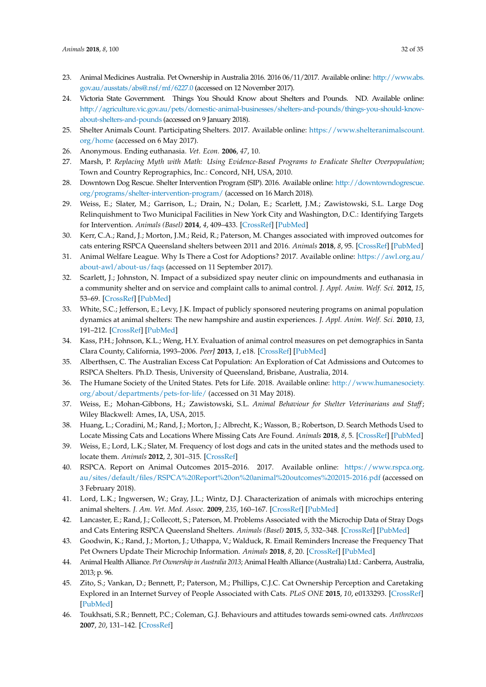- <span id="page-31-24"></span><span id="page-31-0"></span>23. Animal Medicines Australia. Pet Ownership in Australia 2016. 2016 06/11/2017. Available online: [http://www.abs.](http://www.abs.gov.au/ausstats/abs@.nsf/mf/6227.0) [gov.au/ausstats/abs@.nsf/mf/6227.0](http://www.abs.gov.au/ausstats/abs@.nsf/mf/6227.0) (accessed on 12 November 2017).
- <span id="page-31-1"></span>24. Victoria State Government. Things You Should Know about Shelters and Pounds. ND. Available online: [http://agriculture.vic.gov.au/pets/domestic-animal-businesses/shelters-and-pounds/things-you-should-know](http://agriculture.vic.gov.au/pets/domestic-animal-businesses/shelters-and-pounds/things-you-should-know-about-shelters-and-pounds)[about-shelters-and-pounds](http://agriculture.vic.gov.au/pets/domestic-animal-businesses/shelters-and-pounds/things-you-should-know-about-shelters-and-pounds) (accessed on 9 January 2018).
- <span id="page-31-2"></span>25. Shelter Animals Count. Participating Shelters. 2017. Available online: [https://www.shelteranimalscount.](https://www.shelteranimalscount.org/home) [org/home](https://www.shelteranimalscount.org/home) (accessed on 6 May 2017).
- <span id="page-31-4"></span><span id="page-31-3"></span>26. Anonymous. Ending euthanasia. *Vet. Econ.* **2006**, *47*, 10.
- 27. Marsh, P. *Replacing Myth with Math: Using Evidence-Based Programs to Eradicate Shelter Overpopulation*; Town and Country Reprographics, Inc.: Concord, NH, USA, 2010.
- <span id="page-31-5"></span>28. Downtown Dog Rescue. Shelter Intervention Program (SIP). 2016. Available online: [http://downtowndogrescue.](http://downtowndogrescue.org/programs/shelter-intervention-program/) [org/programs/shelter-intervention-program/](http://downtowndogrescue.org/programs/shelter-intervention-program/) (accessed on 16 March 2018).
- <span id="page-31-6"></span>29. Weiss, E.; Slater, M.; Garrison, L.; Drain, N.; Dolan, E.; Scarlett, J.M.; Zawistowski, S.L. Large Dog Relinquishment to Two Municipal Facilities in New York City and Washington, D.C.: Identifying Targets for Intervention. *Animals (Basel)* **2014**, *4*, 409–433. [\[CrossRef\]](http://dx.doi.org/10.3390/ani4030409) [\[PubMed\]](http://www.ncbi.nlm.nih.gov/pubmed/26480315)
- <span id="page-31-7"></span>30. Kerr, C.A.; Rand, J.; Morton, J.M.; Reid, R.; Paterson, M. Changes associated with improved outcomes for cats entering RSPCA Queensland shelters between 2011 and 2016. *Animals* **2018**, *8*, 95. [\[CrossRef\]](http://dx.doi.org/10.3390/ani8060095) [\[PubMed\]](http://www.ncbi.nlm.nih.gov/pubmed/29895814)
- <span id="page-31-8"></span>31. Animal Welfare League. Why Is There a Cost for Adoptions? 2017. Available online: [https://awl.org.au/](https://awl.org.au/about-awl/about-us/faqs) [about-awl/about-us/faqs](https://awl.org.au/about-awl/about-us/faqs) (accessed on 11 September 2017).
- <span id="page-31-9"></span>32. Scarlett, J.; Johnston, N. Impact of a subsidized spay neuter clinic on impoundments and euthanasia in a community shelter and on service and complaint calls to animal control. *J. Appl. Anim. Welf. Sci.* **2012**, *15*, 53–69. [\[CrossRef\]](http://dx.doi.org/10.1080/10888705.2012.624902) [\[PubMed\]](http://www.ncbi.nlm.nih.gov/pubmed/22233215)
- <span id="page-31-10"></span>33. White, S.C.; Jefferson, E.; Levy, J.K. Impact of publicly sponsored neutering programs on animal population dynamics at animal shelters: The new hampshire and austin experiences. *J. Appl. Anim. Welf. Sci.* **2010**, *13*, 191–212. [\[CrossRef\]](http://dx.doi.org/10.1080/10888700903579903) [\[PubMed\]](http://www.ncbi.nlm.nih.gov/pubmed/20563902)
- <span id="page-31-11"></span>34. Kass, P.H.; Johnson, K.L.; Weng, H.Y. Evaluation of animal control measures on pet demographics in Santa Clara County, California, 1993–2006. *PeerJ* **2013**, *1*, e18. [\[CrossRef\]](http://dx.doi.org/10.7717/peerj.18) [\[PubMed\]](http://www.ncbi.nlm.nih.gov/pubmed/23638352)
- <span id="page-31-12"></span>35. Alberthsen, C. The Australian Excess Cat Population: An Exploration of Cat Admissions and Outcomes to RSPCA Shelters. Ph.D. Thesis, University of Queensland, Brisbane, Australia, 2014.
- <span id="page-31-13"></span>36. The Humane Society of the United States. Pets for Life. 2018. Available online: [http://www.humanesociety.](http://www.humanesociety.org/about/departments/pets-for-life/) [org/about/departments/pets-for-life/](http://www.humanesociety.org/about/departments/pets-for-life/) (accessed on 31 May 2018).
- <span id="page-31-14"></span>37. Weiss, E.; Mohan-Gibbons, H.; Zawistowski, S.L. *Animal Behaviour for Shelter Veterinarians and Staff*; Wiley Blackwell: Ames, IA, USA, 2015.
- <span id="page-31-15"></span>38. Huang, L.; Coradini, M.; Rand, J.; Morton, J.; Albrecht, K.; Wasson, B.; Robertson, D. Search Methods Used to Locate Missing Cats and Locations Where Missing Cats Are Found. *Animals* **2018**, *8*, 5. [\[CrossRef\]](http://dx.doi.org/10.3390/ani8010005) [\[PubMed\]](http://www.ncbi.nlm.nih.gov/pubmed/29301322)
- <span id="page-31-16"></span>39. Weiss, E.; Lord, L.K.; Slater, M. Frequency of lost dogs and cats in the united states and the methods used to locate them. *Animals* **2012**, *2*, 301–315. [\[CrossRef\]](http://dx.doi.org/10.3390/ani2020301)
- <span id="page-31-17"></span>40. RSPCA. Report on Animal Outcomes 2015–2016. 2017. Available online: [https://www.rspca.org.](https://www.rspca.org.au/sites/default/files/RSPCA%20Report%20on%20animal%20outcomes%202015-2016.pdf) [au/sites/default/files/RSPCA%20Report%20on%20animal%20outcomes%202015-2016.pdf](https://www.rspca.org.au/sites/default/files/RSPCA%20Report%20on%20animal%20outcomes%202015-2016.pdf) (accessed on 3 February 2018).
- <span id="page-31-18"></span>41. Lord, L.K.; Ingwersen, W.; Gray, J.L.; Wintz, D.J. Characterization of animals with microchips entering animal shelters. *J. Am. Vet. Med. Assoc.* **2009**, *235*, 160–167. [\[CrossRef\]](http://dx.doi.org/10.2460/javma.235.2.160) [\[PubMed\]](http://www.ncbi.nlm.nih.gov/pubmed/19601734)
- <span id="page-31-19"></span>42. Lancaster, E.; Rand, J.; Collecott, S.; Paterson, M. Problems Associated with the Microchip Data of Stray Dogs and Cats Entering RSPCA Queensland Shelters. *Animals (Basel)* **2015**, *5*, 332–348. [\[CrossRef\]](http://dx.doi.org/10.3390/ani5020332) [\[PubMed\]](http://www.ncbi.nlm.nih.gov/pubmed/26479238)
- <span id="page-31-20"></span>43. Goodwin, K.; Rand, J.; Morton, J.; Uthappa, V.; Walduck, R. Email Reminders Increase the Frequency That Pet Owners Update Their Microchip Information. *Animals* **2018**, *8*, 20. [\[CrossRef\]](http://dx.doi.org/10.3390/ani8020020) [\[PubMed\]](http://www.ncbi.nlm.nih.gov/pubmed/29385095)
- <span id="page-31-21"></span>44. Animal Health Alliance. *Pet Ownership in Australia 2013*; Animal Health Alliance (Australia) Ltd.: Canberra, Australia, 2013; p. 96.
- <span id="page-31-22"></span>45. Zito, S.; Vankan, D.; Bennett, P.; Paterson, M.; Phillips, C.J.C. Cat Ownership Perception and Caretaking Explored in an Internet Survey of People Associated with Cats. *PLoS ONE* **2015**, *10*, e0133293. [\[CrossRef\]](http://dx.doi.org/10.1371/journal.pone.0133293) [\[PubMed\]](http://www.ncbi.nlm.nih.gov/pubmed/26218243)
- <span id="page-31-23"></span>46. Toukhsati, S.R.; Bennett, P.C.; Coleman, G.J. Behaviours and attitudes towards semi-owned cats. *Anthrozoos* **2007**, *20*, 131–142. [\[CrossRef\]](http://dx.doi.org/10.2752/175303707X207927)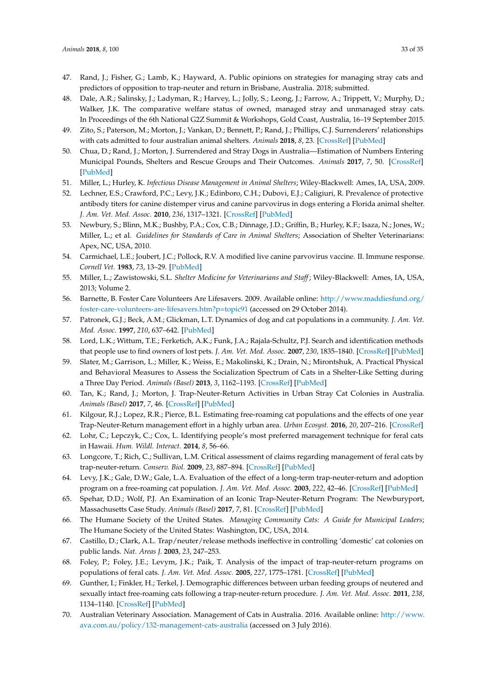- <span id="page-32-0"></span>47. Rand, J.; Fisher, G.; Lamb, K.; Hayward, A. Public opinions on strategies for managing stray cats and predictors of opposition to trap-neuter and return in Brisbane, Australia. 2018; submitted.
- <span id="page-32-1"></span>48. Dale, A.R.; Salinsky, J.; Ladyman, R.; Harvey, L.; Jolly, S.; Leong, J.; Farrow, A.; Trippett, V.; Murphy, D.; Walker, J.K. The comparative welfare status of owned, managed stray and unmanaged stray cats. In Proceedings of the 6th National G2Z Summit & Workshops, Gold Coast, Australia, 16–19 September 2015.
- <span id="page-32-2"></span>49. Zito, S.; Paterson, M.; Morton, J.; Vankan, D.; Bennett, P.; Rand, J.; Phillips, C.J. Surrenderers' relationships with cats admitted to four australian animal shelters. *Animals* **2018**, *8*, 23. [\[CrossRef\]](http://dx.doi.org/10.3390/ani8020023) [\[PubMed\]](http://www.ncbi.nlm.nih.gov/pubmed/29414867)
- <span id="page-32-3"></span>50. Chua, D.; Rand, J.; Morton, J. Surrendered and Stray Dogs in Australia—Estimation of Numbers Entering Municipal Pounds, Shelters and Rescue Groups and Their Outcomes. *Animals* **2017**, *7*, 50. [\[CrossRef\]](http://dx.doi.org/10.3390/ani7070050) [\[PubMed\]](http://www.ncbi.nlm.nih.gov/pubmed/28704949)
- <span id="page-32-4"></span>51. Miller, L.; Hurley, K. *Infectious Disease Management in Animal Shelters*; Wiley-Blackwell: Ames, IA, USA, 2009.
- <span id="page-32-5"></span>52. Lechner, E.S.; Crawford, P.C.; Levy, J.K.; Edinboro, C.H.; Dubovi, E.J.; Caligiuri, R. Prevalence of protective antibody titers for canine distemper virus and canine parvovirus in dogs entering a Florida animal shelter. *J. Am. Vet. Med. Assoc.* **2010**, *236*, 1317–1321. [\[CrossRef\]](http://dx.doi.org/10.2460/javma.236.12.1317) [\[PubMed\]](http://www.ncbi.nlm.nih.gov/pubmed/20550446)
- <span id="page-32-6"></span>53. Newbury, S.; Blinn, M.K.; Bushby, P.A.; Cox, C.B.; Dinnage, J.D.; Griffin, B.; Hurley, K.F.; Isaza, N.; Jones, W.; Miller, L.; et al. *Guidelines for Standards of Care in Animal Shelters*; Association of Shelter Veterinarians: Apex, NC, USA, 2010.
- <span id="page-32-7"></span>54. Carmichael, L.E.; Joubert, J.C.; Pollock, R.V. A modified live canine parvovirus vaccine. II. Immune response. *Cornell Vet.* **1983**, *73*, 13–29. [\[PubMed\]](http://www.ncbi.nlm.nih.gov/pubmed/6337780)
- <span id="page-32-8"></span>55. Miller, L.; Zawistowski, S.L. *Shelter Medicine for Veterinarians and Staff*; Wiley-Blackwell: Ames, IA, USA, 2013; Volume 2.
- <span id="page-32-9"></span>56. Barnette, B. Foster Care Volunteers Are Lifesavers. 2009. Available online: [http://www.maddiesfund.org/](http://www.maddiesfund.org/foster-care-volunteers-are-lifesavers.htm?p=topic91) [foster-care-volunteers-are-lifesavers.htm?p=topic91](http://www.maddiesfund.org/foster-care-volunteers-are-lifesavers.htm?p=topic91) (accessed on 29 October 2014).
- <span id="page-32-10"></span>57. Patronek, G.J.; Beck, A.M.; Glickman, L.T. Dynamics of dog and cat populations in a community. *J. Am. Vet. Med. Assoc.* **1997**, *210*, 637–642. [\[PubMed\]](http://www.ncbi.nlm.nih.gov/pubmed/9054991)
- <span id="page-32-11"></span>58. Lord, L.K.; Wittum, T.E.; Ferketich, A.K.; Funk, J.A.; Rajala-Schultz, P.J. Search and identification methods that people use to find owners of lost pets. *J. Am. Vet. Med. Assoc.* **2007**, *230*, 1835–1840. [\[CrossRef\]](http://dx.doi.org/10.2460/javma.230.12.1835) [\[PubMed\]](http://www.ncbi.nlm.nih.gov/pubmed/17571985)
- <span id="page-32-12"></span>59. Slater, M.; Garrison, L.; Miller, K.; Weiss, E.; Makolinski, K.; Drain, N.; Mirontshuk, A. Practical Physical and Behavioral Measures to Assess the Socialization Spectrum of Cats in a Shelter-Like Setting during a Three Day Period. *Animals (Basel)* **2013**, *3*, 1162–1193. [\[CrossRef\]](http://dx.doi.org/10.3390/ani3041162) [\[PubMed\]](http://www.ncbi.nlm.nih.gov/pubmed/26479757)
- <span id="page-32-13"></span>60. Tan, K.; Rand, J.; Morton, J. Trap-Neuter-Return Activities in Urban Stray Cat Colonies in Australia. *Animals (Basel)* **2017**, *7*, 46. [\[CrossRef\]](http://dx.doi.org/10.3390/ani7060046) [\[PubMed\]](http://www.ncbi.nlm.nih.gov/pubmed/28574465)
- <span id="page-32-14"></span>61. Kilgour, R.J.; Lopez, R.R.; Pierce, B.L. Estimating free-roaming cat populations and the effects of one year Trap-Neuter-Return management effort in a highly urban area. *Urban Ecosyst.* **2016**, *20*, 207–216. [\[CrossRef\]](http://dx.doi.org/10.1007/s11252-016-0583-8)
- 62. Lohr, C.; Lepczyk, C.; Cox, L. Identifying people's most preferred management technique for feral cats in Hawaii. *Hum. Wildl. Interact.* **2014**, *8*, 56–66.
- <span id="page-32-15"></span>63. Longcore, T.; Rich, C.; Sullivan, L.M. Critical assessment of claims regarding management of feral cats by trap-neuter-return. *Conserv. Biol.* **2009**, *23*, 887–894. [\[CrossRef\]](http://dx.doi.org/10.1111/j.1523-1739.2009.01174.x) [\[PubMed\]](http://www.ncbi.nlm.nih.gov/pubmed/19245489)
- <span id="page-32-16"></span>64. Levy, J.K.; Gale, D.W.; Gale, L.A. Evaluation of the effect of a long-term trap-neuter-return and adoption program on a free-roaming cat population. *J. Am. Vet. Med. Assoc.* **2003**, *222*, 42–46. [\[CrossRef\]](http://dx.doi.org/10.2460/javma.2003.222.42) [\[PubMed\]](http://www.ncbi.nlm.nih.gov/pubmed/12523478)
- <span id="page-32-17"></span>65. Spehar, D.D.; Wolf, P.J. An Examination of an Iconic Trap-Neuter-Return Program: The Newburyport, Massachusetts Case Study. *Animals (Basel)* **2017**, *7*, 81. [\[CrossRef\]](http://dx.doi.org/10.3390/ani7110081) [\[PubMed\]](http://www.ncbi.nlm.nih.gov/pubmed/29088106)
- <span id="page-32-18"></span>66. The Humane Society of the United States. *Managing Community Cats: A Guide for Municipal Leaders*; The Humane Society of the United States: Washington, DC, USA, 2014.
- <span id="page-32-19"></span>67. Castillo, D.; Clark, A.L. Trap/neuter/release methods ineffective in controlling 'domestic' cat colonies on public lands. *Nat. Areas J.* **2003**, *23*, 247–253.
- 68. Foley, P.; Foley, J.E.; Levym, J.K.; Paik, T. Analysis of the impact of trap-neuter-return programs on populations of feral cats. *J. Am. Vet. Med. Assoc.* **2005**, *227*, 1775–1781. [\[CrossRef\]](http://dx.doi.org/10.2460/javma.2005.227.1775) [\[PubMed\]](http://www.ncbi.nlm.nih.gov/pubmed/16342526)
- <span id="page-32-20"></span>69. Gunther, I.; Finkler, H.; Terkel, J. Demographic differences between urban feeding groups of neutered and sexually intact free-roaming cats following a trap-neuter-return procedure. *J. Am. Vet. Med. Assoc.* **2011**, *238*, 1134–1140. [\[CrossRef\]](http://dx.doi.org/10.2460/javma.238.9.1134) [\[PubMed\]](http://www.ncbi.nlm.nih.gov/pubmed/21529235)
- <span id="page-32-21"></span>70. Australian Veterinary Association. Management of Cats in Australia. 2016. Available online: [http://www.](http://www.ava.com.au/policy/132-management-cats-australia) [ava.com.au/policy/132-management-cats-australia](http://www.ava.com.au/policy/132-management-cats-australia) (accessed on 3 July 2016).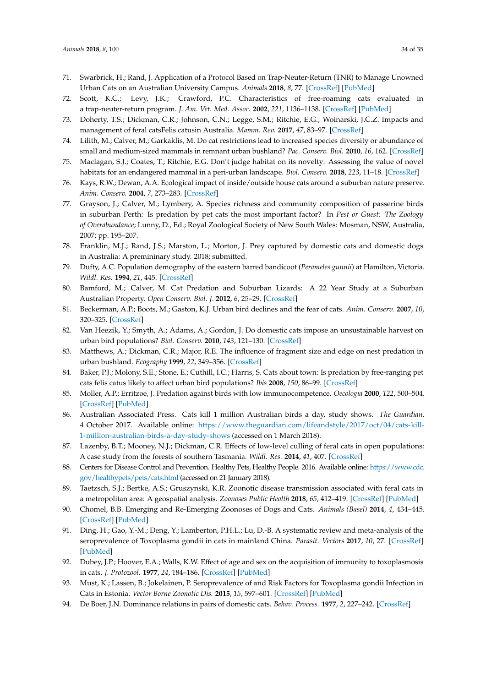- <span id="page-33-0"></span>71. Swarbrick, H.; Rand, J. Application of a Protocol Based on Trap-Neuter-Return (TNR) to Manage Unowned Urban Cats on an Australian University Campus. *Animals* **2018**, *8*, 77. [\[CrossRef\]](http://dx.doi.org/10.3390/ani8050077) [\[PubMed\]](http://www.ncbi.nlm.nih.gov/pubmed/29772788)
- <span id="page-33-1"></span>72. Scott, K.C.; Levy, J.K.; Crawford, P.C. Characteristics of free-roaming cats evaluated in a trap-neuter-return program. *J. Am. Vet. Med. Assoc.* **2002**, *221*, 1136–1138. [\[CrossRef\]](http://dx.doi.org/10.2460/javma.2002.221.1136) [\[PubMed\]](http://www.ncbi.nlm.nih.gov/pubmed/12387382)
- <span id="page-33-2"></span>73. Doherty, T.S.; Dickman, C.R.; Johnson, C.N.; Legge, S.M.; Ritchie, E.G.; Woinarski, J.C.Z. Impacts and management of feral catsFelis catusin Australia. *Mamm. Rev.* **2017**, *47*, 83–97. [\[CrossRef\]](http://dx.doi.org/10.1111/mam.12080)
- <span id="page-33-3"></span>74. Lilith, M.; Calver, M.; Garkaklis, M. Do cat restrictions lead to increased species diversity or abundance of small and medium-sized mammals in remnant urban bushland? *Pac. Conserv. Biol.* **2010**, *16*, 162. [\[CrossRef\]](http://dx.doi.org/10.1071/PC100162)
- <span id="page-33-4"></span>75. Maclagan, S.J.; Coates, T.; Ritchie, E.G. Don't judge habitat on its novelty: Assessing the value of novel habitats for an endangered mammal in a peri-urban landscape. *Biol. Conserv.* **2018**, *223*, 11–18. [\[CrossRef\]](http://dx.doi.org/10.1016/j.biocon.2018.04.022)
- <span id="page-33-5"></span>76. Kays, R.W.; Dewan, A.A. Ecological impact of inside/outside house cats around a suburban nature preserve. *Anim. Conserv.* **2004**, *7*, 273–283. [\[CrossRef\]](http://dx.doi.org/10.1017/S1367943004001489)
- <span id="page-33-6"></span>77. Grayson, J.; Calver, M.; Lymbery, A. Species richness and community composition of passerine birds in suburban Perth: Is predation by pet cats the most important factor? In *Pest or Guest: The Zoology of Overabundance*; Lunny, D., Ed.; Royal Zoological Society of New South Wales: Mosman, NSW, Australia, 2007; pp. 195–207.
- <span id="page-33-7"></span>78. Franklin, M.J.; Rand, J.S.; Marston, L.; Morton, J. Prey captured by domestic cats and domestic dogs in Australia: A premininary study. 2018; submitted.
- <span id="page-33-8"></span>79. Dufty, A.C. Population demography of the eastern barred bandicoot (*Perameles gunnii*) at Hamilton, Victoria. *Wildl. Res.* **1994**, *21*, 445. [\[CrossRef\]](http://dx.doi.org/10.1071/WR9940445)
- <span id="page-33-9"></span>80. Bamford, M.; Calver, M. Cat Predation and Suburban Lizards: A 22 Year Study at a Suburban Australian Property. *Open Conserv. Biol. J.* **2012**, *6*, 25–29. [\[CrossRef\]](http://dx.doi.org/10.2174/1874839201206010025)
- <span id="page-33-10"></span>81. Beckerman, A.P.; Boots, M.; Gaston, K.J. Urban bird declines and the fear of cats. *Anim. Conserv.* **2007**, *10*, 320–325. [\[CrossRef\]](http://dx.doi.org/10.1111/j.1469-1795.2007.00115.x)
- <span id="page-33-11"></span>82. Van Heezik, Y.; Smyth, A.; Adams, A.; Gordon, J. Do domestic cats impose an unsustainable harvest on urban bird populations? *Biol. Conserv.* **2010**, *143*, 121–130. [\[CrossRef\]](http://dx.doi.org/10.1016/j.biocon.2009.09.013)
- <span id="page-33-12"></span>83. Matthews, A.; Dickman, C.R.; Major, R.E. The influence of fragment size and edge on nest predation in urban bushland. *Ecography* **1999**, *22*, 349–356. [\[CrossRef\]](http://dx.doi.org/10.1111/j.1600-0587.1999.tb00572.x)
- <span id="page-33-13"></span>84. Baker, P.J.; Molony, S.E.; Stone, E.; Cuthill, I.C.; Harris, S. Cats about town: Is predation by free-ranging pet cats felis catus likely to affect urban bird populations? *Ibis* **2008**, *150*, 86–99. [\[CrossRef\]](http://dx.doi.org/10.1111/j.1474-919X.2008.00836.x)
- <span id="page-33-14"></span>85. Moller, A.P.; Erritzoe, J. Predation against birds with low immunocompetence. *Oecologia* **2000**, *122*, 500–504. [\[CrossRef\]](http://dx.doi.org/10.1007/s004420050972) [\[PubMed\]](http://www.ncbi.nlm.nih.gov/pubmed/28308342)
- <span id="page-33-15"></span>86. Australian Associated Press. Cats kill 1 million Australian birds a day, study shows. *The Guardian*. 4 October 2017. Available online: [https://www.theguardian.com/lifeandstyle/2017/oct/04/cats-kill-](https://www.theguardian.com/lifeandstyle/2017/oct/04/cats-kill-1-million-australian-birds-a-day-study-shows)[1-million-australian-birds-a-day-study-shows](https://www.theguardian.com/lifeandstyle/2017/oct/04/cats-kill-1-million-australian-birds-a-day-study-shows) (accessed on 1 March 2018).
- <span id="page-33-16"></span>87. Lazenby, B.T.; Mooney, N.J.; Dickman, C.R. Effects of low-level culling of feral cats in open populations: A case study from the forests of southern Tasmania. *Wildl. Res.* **2014**, *41*, 407. [\[CrossRef\]](http://dx.doi.org/10.1071/WR14030)
- <span id="page-33-17"></span>88. Centers for Disease Control and Prevention. Healthy Pets, Healthy People. 2016. Available online: [https://www.cdc.](https://www.cdc.gov/healthypets/pets/cats.html) [gov/healthypets/pets/cats.html](https://www.cdc.gov/healthypets/pets/cats.html) (accessed on 21 January 2018).
- <span id="page-33-18"></span>89. Taetzsch, S.J.; Bertke, A.S.; Gruszynski, K.R. Zoonotic disease transmission associated with feral cats in a metropolitan area: A geospatial analysis. *Zoonoses Public Health* **2018**, *65*, 412–419. [\[CrossRef\]](http://dx.doi.org/10.1111/zph.12449) [\[PubMed\]](http://www.ncbi.nlm.nih.gov/pubmed/29423934)
- <span id="page-33-19"></span>90. Chomel, B.B. Emerging and Re-Emerging Zoonoses of Dogs and Cats. *Animals (Basel)* **2014**, *4*, 434–445. [\[CrossRef\]](http://dx.doi.org/10.3390/ani4030434) [\[PubMed\]](http://www.ncbi.nlm.nih.gov/pubmed/26480316)
- <span id="page-33-20"></span>91. Ding, H.; Gao, Y.-M.; Deng, Y.; Lamberton, P.H.L.; Lu, D.-B. A systematic review and meta-analysis of the seroprevalence of Toxoplasma gondii in cats in mainland China. *Parasit. Vectors* **2017**, *10*, 27. [\[CrossRef\]](http://dx.doi.org/10.1186/s13071-017-1970-6) [\[PubMed\]](http://www.ncbi.nlm.nih.gov/pubmed/28086987)
- <span id="page-33-22"></span>92. Dubey, J.P.; Hoover, E.A.; Walls, K.W. Effect of age and sex on the acquisition of immunity to toxoplasmosis in cats. *J. Protozool.* **1977**, *24*, 184–186. [\[CrossRef\]](http://dx.doi.org/10.1111/j.1550-7408.1977.tb05302.x) [\[PubMed\]](http://www.ncbi.nlm.nih.gov/pubmed/864622)
- <span id="page-33-21"></span>93. Must, K.; Lassen, B.; Jokelainen, P. Seroprevalence of and Risk Factors for Toxoplasma gondii Infection in Cats in Estonia. *Vector Borne Zoonotic Dis.* **2015**, *15*, 597–601. [\[CrossRef\]](http://dx.doi.org/10.1089/vbz.2015.1809) [\[PubMed\]](http://www.ncbi.nlm.nih.gov/pubmed/26394196)
- <span id="page-33-23"></span>94. De Boer, J.N. Dominance relations in pairs of domestic cats. *Behav. Process.* **1977**, *2*, 227–242. [\[CrossRef\]](http://dx.doi.org/10.1016/0376-6357(77)90027-4)